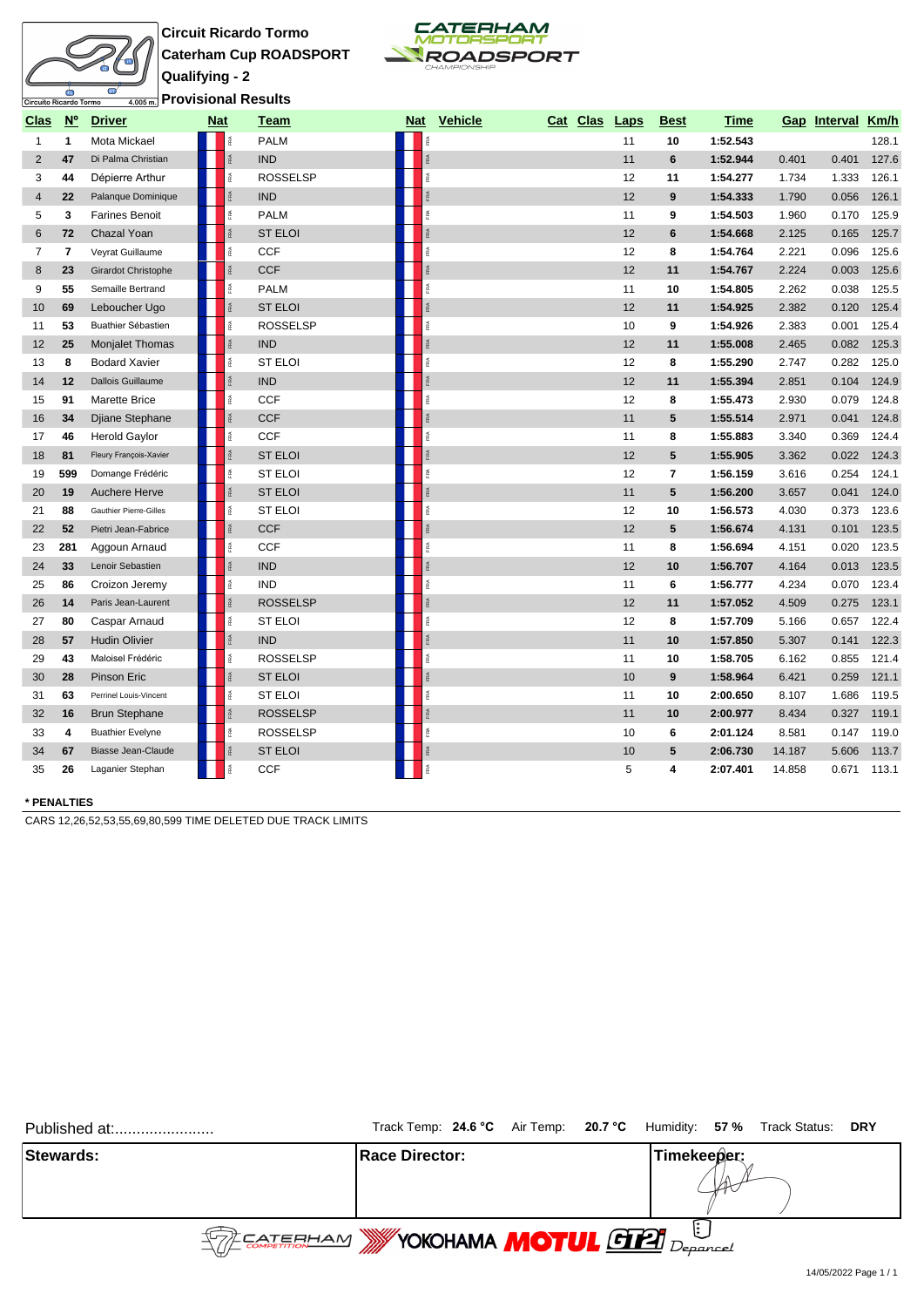# Circuito Ricardo Tormo

**Circuit Ricardo Tormo Caterham Cup ROADSPORT Qualifying - 2 Provisional Results**



| Clas           | $N^{\circ}$             | <b>Driver</b>                 | <b>Nat</b> |                  | Team            | <b>Nat</b> | <b>Vehicle</b> | Cat Clas | Laps | <b>Best</b>     | <b>Time</b> | Gap    | Interval | Km/h  |
|----------------|-------------------------|-------------------------------|------------|------------------|-----------------|------------|----------------|----------|------|-----------------|-------------|--------|----------|-------|
| $\mathbf{1}$   | $\mathbf{1}$            | Mota Mickael                  |            |                  | <b>PALM</b>     |            |                |          | 11   | 10              | 1:52.543    |        |          | 128.1 |
| $\overline{2}$ | 47                      | Di Palma Christian            |            | Ř                | <b>IND</b>      |            |                |          | 11   | 6               | 1:52.944    | 0.401  | 0.401    | 127.6 |
| 3              | 44                      | Dépierre Arthur               |            | î.               | <b>ROSSELSP</b> |            |                |          | 12   | 11              | 1:54.277    | 1.734  | 1.333    | 126.1 |
| 4              | 22                      | Palanque Dominique            |            |                  | <b>IND</b>      |            |                |          | 12   | 9               | 1:54.333    | 1.790  | 0.056    | 126.1 |
| 5              | 3                       | <b>Farines Benoit</b>         |            |                  | <b>PALM</b>     |            |                |          | 11   | 9               | 1:54.503    | 1.960  | 0.170    | 125.9 |
| 6              | 72                      | Chazal Yoan                   |            | Ŗ.               | <b>ST ELOI</b>  |            |                |          | 12   | 6               | 1:54.668    | 2.125  | 0.165    | 125.7 |
| $\overline{7}$ | $\overline{\mathbf{r}}$ | Veyrat Guillaume              |            | iPA.             | <b>CCF</b>      |            |                |          | 12   | 8               | 1:54.764    | 2.221  | 0.096    | 125.6 |
| 8              | 23                      | Girardot Christophe           |            | īRA.             | <b>CCF</b>      |            |                |          | 12   | 11              | 1:54.767    | 2.224  | 0.003    | 125.6 |
| 9              | 55                      | Semaille Bertrand             |            | īRA              | <b>PALM</b>     |            |                |          | 11   | 10              | 1:54.805    | 2.262  | 0.038    | 125.5 |
| 10             | 69                      | Leboucher Ugo                 |            | <b>RA</b>        | <b>ST ELOI</b>  |            |                |          | 12   | 11              | 1:54.925    | 2.382  | 0.120    | 125.4 |
| 11             | 53                      | Buathier Sébastien            |            | ß.               | <b>ROSSELSP</b> | 乏          |                |          | 10   | 9               | 1:54.926    | 2.383  | 0.001    | 125.4 |
| 12             | 25                      | <b>Monjalet Thomas</b>        |            | FRA              | <b>IND</b>      |            |                |          | 12   | 11              | 1:55.008    | 2.465  | 0.082    | 125.3 |
| 13             | 8                       | <b>Bodard Xavier</b>          |            | RA               | <b>ST ELOI</b>  |            |                |          | 12   | 8               | 1:55.290    | 2.747  | 0.282    | 125.0 |
| 14             | 12                      | Dallois Guillaume             |            |                  | <b>IND</b>      |            |                |          | 12   | 11              | 1:55.394    | 2.851  | 0.104    | 124.9 |
| 15             | 91                      | <b>Marette Brice</b>          |            |                  | <b>CCF</b>      |            |                |          | 12   | 8               | 1:55.473    | 2.930  | 0.079    | 124.8 |
| 16             | 34                      | Djiane Stephane               |            | <b>RA</b>        | <b>CCF</b>      |            |                |          | 11   | 5               | 1:55.514    | 2.971  | 0.041    | 124.8 |
| 17             | 46                      | <b>Herold Gaylor</b>          |            | îRA.             | <b>CCF</b>      |            |                |          | 11   | 8               | 1:55.883    | 3.340  | 0.369    | 124.4 |
| 18             | 81                      | Fleury François-Xavier        |            | <b>RA</b>        | <b>ST ELOI</b>  |            |                |          | 12   | 5               | 1:55.905    | 3.362  | 0.022    | 124.3 |
| 19             | 599                     | Domange Frédéric              |            | é                | <b>ST ELOI</b>  |            |                |          | 12   | 7               | 1:56.159    | 3.616  | 0.254    | 124.1 |
| 20             | 19                      | <b>Auchere Herve</b>          |            | FRA              | <b>ST ELOI</b>  | FRA        |                |          | 11   | $5\phantom{.0}$ | 1:56.200    | 3.657  | 0.041    | 124.0 |
| 21             | 88                      | <b>Gauthier Pierre-Gilles</b> |            | īRA              | <b>ST ELOI</b>  | îRA.       |                |          | 12   | 10              | 1:56.573    | 4.030  | 0.373    | 123.6 |
| 22             | 52                      | Pietri Jean-Fabrice           |            | <b>FRA</b>       | <b>CCF</b>      |            |                |          | 12   | 5               | 1:56.674    | 4.131  | 0.101    | 123.5 |
| 23             | 281                     | Aggoun Arnaud                 |            | Ř                | <b>CCF</b>      |            |                |          | 11   | 8               | 1:56.694    | 4.151  | 0.020    | 123.5 |
| 24             | 33                      | Lenoir Sebastien              |            | ŖÃ.              | <b>IND</b>      |            |                |          | 12   | 10              | 1:56.707    | 4.164  | 0.013    | 123.5 |
| 25             | 86                      | Croizon Jeremy                |            |                  | <b>IND</b>      |            |                |          | 11   | 6               | 1:56.777    | 4.234  | 0.070    | 123.4 |
| 26             | 14                      | Paris Jean-Laurent            |            | <b>FRA</b>       | <b>ROSSELSP</b> |            |                |          | 12   | 11              | 1:57.052    | 4.509  | 0.275    | 123.1 |
| 27             | 80                      | Caspar Arnaud                 |            | 歪                | ST ELOI         |            |                |          | 12   | 8               | 1:57.709    | 5.166  | 0.657    | 122.4 |
| 28             | 57                      | <b>Hudin Olivier</b>          |            | FRA <sub>.</sub> | <b>IND</b>      |            |                |          | 11   | 10              | 1:57.850    | 5.307  | 0.141    | 122.3 |
| 29             | 43                      | Maloisel Frédéric             |            | FRA              | <b>ROSSELSP</b> |            |                |          | 11   | 10              | 1:58.705    | 6.162  | 0.855    | 121.4 |
| 30             | 28                      | Pinson Eric                   |            | FRA              | <b>ST ELOI</b>  |            |                |          | 10   | 9               | 1:58.964    | 6.421  | 0.259    | 121.1 |
| 31             | 63                      | Perrinel Louis-Vincent        |            | Ř                | <b>ST ELOI</b>  | ŘÃ         |                |          | 11   | 10              | 2:00.650    | 8.107  | 1.686    | 119.5 |
| 32             | 16                      | <b>Brun Stephane</b>          |            | î.               | <b>ROSSELSP</b> |            |                |          | 11   | 10              | 2:00.977    | 8.434  | 0.327    | 119.1 |
| 33             | 4                       | <b>Buathier Evelyne</b>       |            |                  | <b>ROSSELSP</b> |            |                |          | 10   | 6               | 2:01.124    | 8.581  | 0.147    | 119.0 |
| 34             | 67                      | <b>Biasse Jean-Claude</b>     |            |                  | <b>ST ELOI</b>  |            |                |          | 10   | $5\phantom{.0}$ | 2:06.730    | 14.187 | 5.606    | 113.7 |
| 35             | 26                      | Laganier Stephan              |            |                  | <b>CCF</b>      |            |                |          | 5    | 4               | 2:07.401    | 14.858 | 0.671    | 113.1 |

#### **\* PENALTIES**

CARS 12,26,52,53,55,69,80,599 TIME DELETED DUE TRACK LIMITS

|                  | Published at: | Track Temp: 24.6 °C Air Temp: 20.7 °C Humidity: 57 % Track Status: DRY                                                                                                                                                                                                                                              |  |             |  |  |
|------------------|---------------|---------------------------------------------------------------------------------------------------------------------------------------------------------------------------------------------------------------------------------------------------------------------------------------------------------------------|--|-------------|--|--|
| <b>Stewards:</b> |               | <b>Race Director:</b>                                                                                                                                                                                                                                                                                               |  | Timekeeper: |  |  |
|                  |               | $\frac{1}{2}$ $\frac{1}{2}$ $\frac{1}{2}$ $\frac{1}{2}$ $\frac{1}{2}$ $\frac{1}{2}$ $\frac{1}{2}$ $\frac{1}{2}$ $\frac{1}{2}$ $\frac{1}{2}$ $\frac{1}{2}$ $\frac{1}{2}$ $\frac{1}{2}$ $\frac{1}{2}$ $\frac{1}{2}$ $\frac{1}{2}$ $\frac{1}{2}$ $\frac{1}{2}$ $\frac{1}{2}$ $\frac{1}{2}$ $\frac{1}{2}$ $\frac{1}{2}$ |  |             |  |  |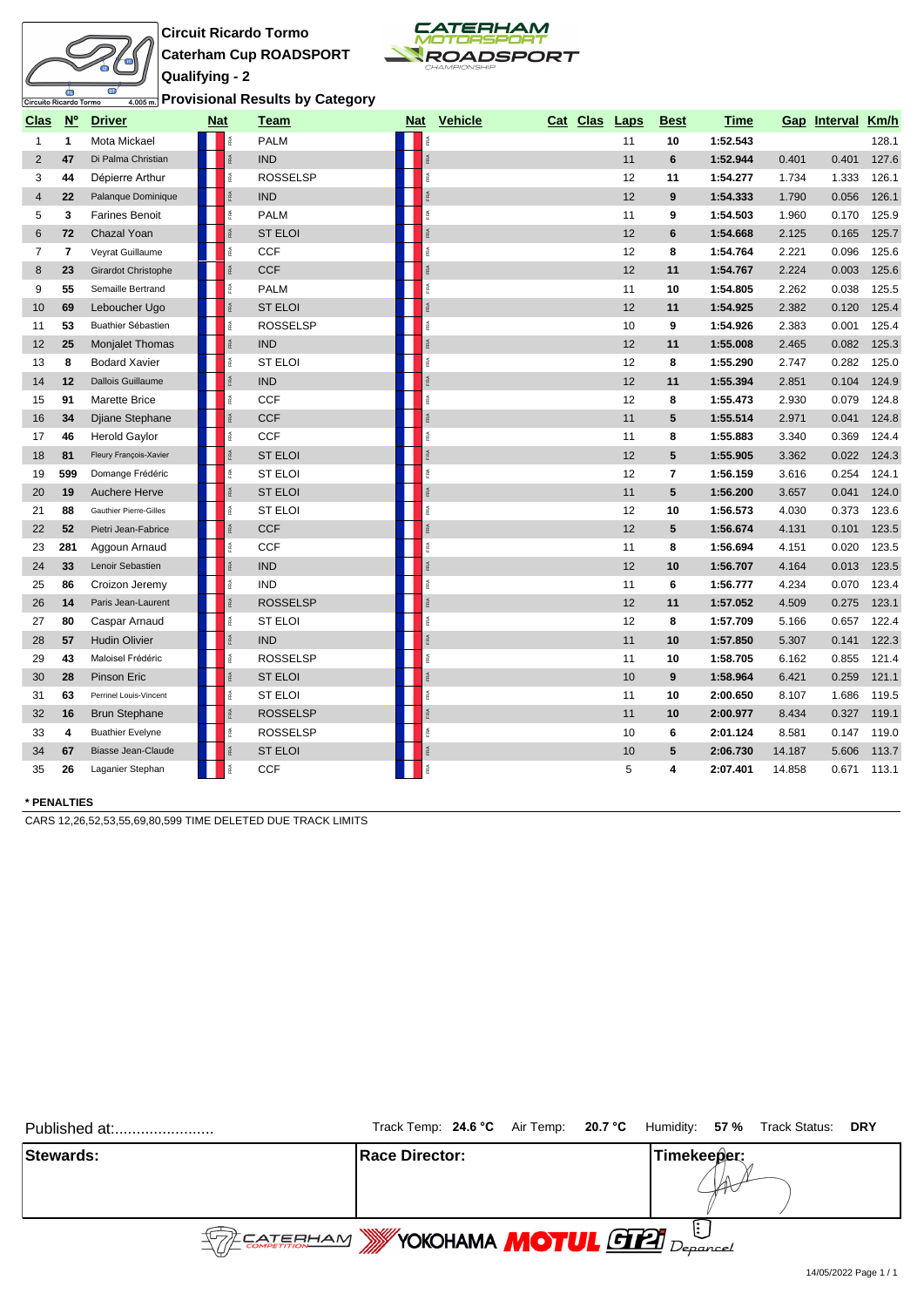

## **Circuit Ricardo Tormo Caterham Cup ROADSPORT Qualifying - 2**



**Provisional Results by Category**

| <b>Clas</b>    | $\underline{\mathsf{N}^{\circ}}$ | <b>Driver</b>            | <b>Nat</b> | Team                | <u>Nat</u>   | Vehicle | Cat Clas | Laps | <b>Best</b>     | <b>Time</b> |        | Gap Interval | <b>Km/h</b> |
|----------------|----------------------------------|--------------------------|------------|---------------------|--------------|---------|----------|------|-----------------|-------------|--------|--------------|-------------|
| $\mathbf{1}$   | $\mathbf{1}$                     | Mota Mickael             |            | <b>PALM</b>         | FRA          |         |          | 11   | 10              | 1:52.543    |        |              | 128.1       |
| $\overline{2}$ | 47                               | Di Palma Christian       |            | RÁ<br><b>IND</b>    | RÁ           |         |          | 11   | $6\phantom{1}$  | 1:52.944    | 0.401  | 0.401        | 127.6       |
| 3              | 44                               | Dépierre Arthur          |            | <b>ROSSELSP</b>     | FRA          |         |          | 12   | 11              | 1:54.277    | 1.734  | 1.333        | 126.1       |
| 4              | 22                               | Palanque Dominique       |            | <b>IND</b>          | RA.          |         |          | 12   | 9               | 1:54.333    | 1.790  | 0.056        | 126.1       |
| 5              | 3                                | <b>Farines Benoit</b>    |            | <b>PALM</b>         | FRA          |         |          | 11   | 9               | 1:54.503    | 1.960  | 0.170        | 125.9       |
| 6              | 72                               | Chazal Yoan              |            | <b>ST ELOI</b>      |              |         |          | 12   | 6               | 1:54.668    | 2.125  | 0.165        | 125.7       |
| 7              | $\overline{7}$                   | Veyrat Guillaume         |            | <b>CCF</b>          | ß.           |         |          | 12   | 8               | 1:54.764    | 2.221  | 0.096        | 125.6       |
| 8              | 23                               | Girardot Christophe      |            | <b>CCF</b>          |              |         |          | 12   | 11              | 1:54.767    | 2.224  | 0.003        | 125.6       |
| 9              | 55                               | Semaille Bertrand        |            | <b>PALM</b>         | FRA          |         |          | 11   | 10              | 1:54.805    | 2.262  | 0.038        | 125.5       |
| 10             | 69                               | Leboucher Ugo            |            | <b>ST ELOI</b>      | FRA          |         |          | 12   | 11              | 1:54.925    | 2.382  | 0.120        | 125.4       |
| 11             | 53                               | Buathier Sébastien       |            | <b>ROSSELSP</b>     | Æ            |         |          | 10   | 9               | 1:54.926    | 2.383  | 0.001        | 125.4       |
| 12             | 25                               | <b>Monjalet Thomas</b>   |            | <b>IND</b>          | FRA          |         |          | 12   | 11              | 1:55.008    | 2.465  | 0.082        | 125.3       |
| 13             | 8                                | <b>Bodard Xavier</b>     |            | é<br><b>ST ELOI</b> | FRA          |         |          | 12   | 8               | 1:55.290    | 2.747  | 0.282        | 125.0       |
| 14             | 12                               | <b>Dallois Guillaume</b> |            | <b>IND</b>          | Ě            |         |          | 12   | 11              | 1:55.394    | 2.851  | 0.104        | 124.9       |
| 15             | 91                               | <b>Marette Brice</b>     |            | <b>CCF</b>          | Æ            |         |          | 12   | 8               | 1:55.473    | 2.930  | 0.079        | 124.8       |
| 16             | 34                               | Djiane Stephane          |            | <b>CCF</b>          | FRA          |         |          | 11   | $5\phantom{.0}$ | 1:55.514    | 2.971  | 0.041        | 124.8       |
| 17             | 46                               | <b>Herold Gaylor</b>     |            | CCF                 | FRA          |         |          | 11   | 8               | 1:55.883    | 3.340  | 0.369        | 124.4       |
| 18             | 81                               | Fleury François-Xavier   |            | <b>ST ELOI</b>      |              |         |          | 12   | 5               | 1:55.905    | 3.362  | 0.022        | 124.3       |
| 19             | 599                              | Domange Frédéric         |            | ST ELOI             | ß.           |         |          | 12   | 7               | 1:56.159    | 3.616  | 0.254        | 124.1       |
| 20             | 19                               | Auchere Herve            |            | <b>ST ELOI</b>      |              |         |          | 11   | 5               | 1:56.200    | 3.657  | 0.041        | 124.0       |
| 21             | 88                               | Gauthier Pierre-Gilles   |            | <b>ST ELOI</b>      | FRA          |         |          | 12   | 10              | 1:56.573    | 4.030  | 0.373        | 123.6       |
| 22             | 52                               | Pietri Jean-Fabrice      |            | <b>CCF</b>          | FRA          |         |          | 12   | $5\phantom{.0}$ | 1:56.674    | 4.131  | 0.101        | 123.5       |
| 23             | 281                              | Aggoun Arnaud            |            | CCF                 | Æ            |         |          | 11   | 8               | 1:56.694    | 4.151  | 0.020        | 123.5       |
| 24             | 33                               | Lenoir Sebastien         |            | <b>IND</b>          | FRA          |         |          | 12   | 10              | 1:56.707    | 4.164  | 0.013        | 123.5       |
| 25             | 86                               | Croizon Jeremy           |            | îRA.<br><b>IND</b>  | FRA          |         |          | 11   | 6               | 1:56.777    | 4.234  | 0.070        | 123.4       |
| 26             | 14                               | Paris Jean-Laurent       |            | <b>ROSSELSP</b>     | FRA          |         |          | 12   | 11              | 1:57.052    | 4.509  | 0.275        | 123.1       |
| 27             | 80                               | Caspar Arnaud            |            | <b>ST ELOI</b>      | Ě            |         |          | 12   | 8               | 1:57.709    | 5.166  | 0.657        | 122.4       |
| 28             | 57                               | <b>Hudin Olivier</b>     |            | <b>IND</b>          | $\mathbb{R}$ |         |          | 11   | 10              | 1:57.850    | 5.307  | 0.141        | 122.3       |
| 29             | 43                               | Maloisel Frédéric        |            | <b>ROSSELSP</b>     | FRA          |         |          | 11   | 10              | 1:58.705    | 6.162  | 0.855        | 121.4       |
| 30             | 28                               | Pinson Eric              |            | <b>ST ELOI</b>      |              |         |          | 10   | 9               | 1:58.964    | 6.421  | 0.259        | 121.1       |
| 31             | 63                               | Perrinel Louis-Vincent   |            | <b>ST ELOI</b>      | Ř            |         |          | 11   | 10              | 2:00.650    | 8.107  | 1.686        | 119.5       |
| 32             | 16                               | <b>Brun Stephane</b>     |            | <b>ROSSELSP</b>     |              |         |          | 11   | 10              | 2:00.977    | 8.434  | 0.327        | 119.1       |
| 33             | 4                                | <b>Buathier Evelyne</b>  |            | <b>ROSSELSP</b>     | FRA          |         |          | 10   | 6               | 2:01.124    | 8.581  | 0.147        | 119.0       |
| 34             | 67                               | Biasse Jean-Claude       |            | <b>ST ELOI</b>      | FRA          |         |          | $10$ | 5               | 2:06.730    | 14.187 | 5.606        | 113.7       |
| 35             | 26                               | Laganier Stephan         |            | CCF                 | FRA          |         |          | 5    | 4               | 2:07.401    | 14.858 | 0.671        | 113.1       |

#### **\* PENALTIES**

CARS 12,26,52,53,55,69,80,599 TIME DELETED DUE TRACK LIMITS

| Published at:    |                                                    | Track Temp: 24.6 °C Air Temp: 20.7 °C Humidity: 57 % Track Status: DRY |
|------------------|----------------------------------------------------|------------------------------------------------------------------------|
| <b>Stewards:</b> | <b>Race Director:</b>                              | Timekeeper:                                                            |
|                  | <b>STEE CATERHAM WYOKOHAMA MOTUL GIEL</b> Deparced |                                                                        |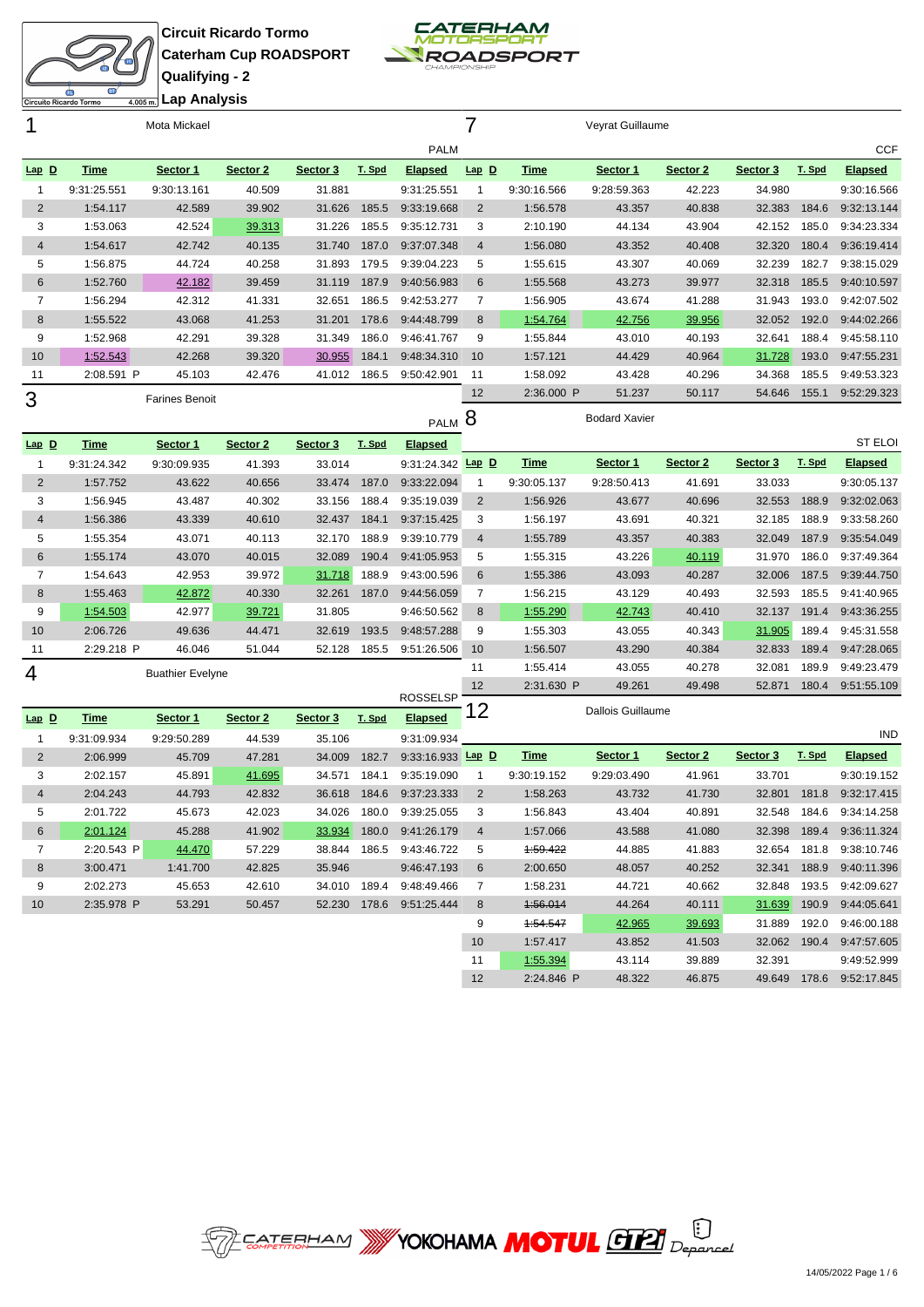



|                  |             | Mota Mickael            |          |          |        |                          |                |             | Veyrat Guillaume         |          |          |        |                            |
|------------------|-------------|-------------------------|----------|----------|--------|--------------------------|----------------|-------------|--------------------------|----------|----------|--------|----------------------------|
|                  |             |                         |          |          |        | <b>PALM</b>              |                |             |                          |          |          |        | <b>CCF</b>                 |
| Lap D            | <b>Time</b> | Sector 1                | Sector 2 | Sector 3 | T. Spd | <b>Elapsed</b>           | $Lap$ $D$      | <b>Time</b> | Sector 1                 | Sector 2 | Sector 3 | T. Spd | <b>Elapsed</b>             |
| $\mathbf{1}$     | 9:31:25.551 | 9:30:13.161             | 40.509   | 31.881   |        | 9:31:25.551              | $\mathbf{1}$   | 9:30:16.566 | 9:28:59.363              | 42.223   | 34.980   |        | 9:30:16.566                |
| $\overline{2}$   | 1:54.117    | 42.589                  | 39.902   | 31.626   | 185.5  | 9:33:19.668              | $\overline{2}$ | 1:56.578    | 43.357                   | 40.838   | 32.383   | 184.6  | 9:32:13.144                |
| 3                | 1:53.063    | 42.524                  | 39.313   | 31.226   | 185.5  | 9:35:12.731              | 3              | 2:10.190    | 44.134                   | 43.904   | 42.152   | 185.0  | 9:34:23.334                |
| 4                | 1:54.617    | 42.742                  | 40.135   | 31.740   | 187.0  | 9:37:07.348              | $\overline{4}$ | 1:56.080    | 43.352                   | 40.408   | 32.320   | 180.4  | 9:36:19.414                |
| 5                | 1:56.875    | 44.724                  | 40.258   | 31.893   | 179.5  | 9:39:04.223              | $\sqrt{5}$     | 1:55.615    | 43.307                   | 40.069   | 32.239   | 182.7  | 9:38:15.029                |
| $6\phantom{1}$   | 1:52.760    | 42.182                  | 39.459   | 31.119   | 187.9  | 9:40:56.983              | 6              | 1:55.568    | 43.273                   | 39.977   | 32.318   | 185.5  | 9:40:10.597                |
| $\overline{7}$   | 1:56.294    | 42.312                  | 41.331   | 32.651   | 186.5  | 9:42:53.277              | $\overline{7}$ | 1:56.905    | 43.674                   | 41.288   | 31.943   | 193.0  | 9:42:07.502                |
| 8                | 1:55.522    | 43.068                  | 41.253   | 31.201   | 178.6  | 9:44:48.799              | 8              | 1:54.764    | 42.756                   | 39.956   | 32.052   | 192.0  | 9:44:02.266                |
| 9                | 1:52.968    | 42.291                  | 39.328   | 31.349   | 186.0  | 9:46:41.767              | 9              | 1:55.844    | 43.010                   | 40.193   | 32.641   | 188.4  | 9:45:58.110                |
| 10               | 1:52.543    | 42.268                  | 39.320   | 30.955   | 184.1  | 9:48:34.310              | 10             | 1:57.121    | 44.429                   | 40.964   | 31.728   | 193.0  | 9:47:55.231                |
| 11               | 2:08.591 P  | 45.103                  | 42.476   | 41.012   | 186.5  | 9:50:42.901              | 11             | 1:58.092    | 43.428                   | 40.296   | 34.368   | 185.5  | 9:49:53.323                |
| 3                |             | <b>Farines Benoit</b>   |          |          |        |                          | 12             | 2:36.000 P  | 51.237                   | 50.117   | 54.646   | 155.1  | 9:52:29.323                |
|                  |             |                         |          |          |        | <b>PALM</b>              | 8              |             | <b>Bodard Xavier</b>     |          |          |        |                            |
| Lap <sub>D</sub> | <b>Time</b> | Sector 1                | Sector 2 | Sector 3 | T. Spd | <b>Elapsed</b>           |                |             |                          |          |          |        | <b>ST ELOI</b>             |
| 1                | 9:31:24.342 | 9:30:09.935             | 41.393   | 33.014   |        | 9:31:24.342 Lap D        |                | <b>Time</b> | Sector 1                 | Sector 2 | Sector 3 | T. Spd | <b>Elapsed</b>             |
| $\overline{2}$   | 1:57.752    | 43.622                  | 40.656   | 33.474   | 187.0  | 9:33:22.094              | $\mathbf{1}$   | 9:30:05.137 | 9:28:50.413              | 41.691   | 33.033   |        | 9:30:05.137                |
| 3                | 1:56.945    | 43.487                  | 40.302   | 33.156   | 188.4  | 9:35:19.039              | 2              | 1:56.926    | 43.677                   | 40.696   | 32.553   | 188.9  | 9:32:02.063                |
| $\overline{4}$   | 1:56.386    | 43.339                  | 40.610   | 32.437   | 184.1  | 9:37:15.425              | 3              | 1:56.197    | 43.691                   | 40.321   | 32.185   | 188.9  | 9:33:58.260                |
| 5                | 1:55.354    | 43.071                  | 40.113   | 32.170   | 188.9  | 9:39:10.779              | $\overline{4}$ | 1:55.789    | 43.357                   | 40.383   | 32.049   | 187.9  | 9:35:54.049                |
| 6                | 1:55.174    | 43.070                  | 40.015   | 32.089   | 190.4  | 9:41:05.953              | 5              | 1:55.315    | 43.226                   | 40.119   | 31.970   | 186.0  | 9:37:49.364                |
| $\overline{7}$   | 1:54.643    | 42.953                  | 39.972   | 31.718   | 188.9  | 9:43:00.596              | 6              | 1:55.386    | 43.093                   | 40.287   | 32.006   | 187.5  | 9:39:44.750                |
| 8                | 1:55.463    | 42.872                  | 40.330   | 32.261   | 187.0  | 9:44:56.059              | 7              | 1:56.215    | 43.129                   | 40.493   | 32.593   | 185.5  | 9:41:40.965                |
| 9                | 1:54.503    | 42.977                  | 39.721   | 31.805   |        | 9:46:50.562              | 8              | 1:55.290    | 42.743                   | 40.410   | 32.137   | 191.4  | 9:43:36.255                |
| 10               | 2:06.726    | 49.636                  | 44.471   | 32.619   | 193.5  | 9:48:57.288              | 9              | 1:55.303    | 43.055                   | 40.343   | 31.905   | 189.4  | 9:45:31.558                |
| 11               | 2:29.218 P  | 46.046                  | 51.044   | 52.128   | 185.5  | 9:51:26.506              | 10             | 1:56.507    | 43.290                   | 40.384   | 32.833   | 189.4  | 9:47:28.065                |
| 4                |             | <b>Buathier Evelyne</b> |          |          |        |                          | 11             | 1:55.414    | 43.055                   | 40.278   | 32.081   | 189.9  | 9:49:23.479                |
|                  |             |                         |          |          |        | <b>ROSSELSP</b>          | 12             | 2:31.630 P  | 49.261                   | 49.498   | 52.871   | 180.4  | 9:51:55.109                |
| $Lap$ $D$        | <b>Time</b> | Sector 1                | Sector 2 | Sector 3 | T. Spd | <b>Elapsed</b>           | 12             |             | <b>Dallois Guillaume</b> |          |          |        |                            |
| $\mathbf{1}$     | 9:31:09.934 | 9:29:50.289             | 44.539   | 35.106   |        | 9:31:09.934              |                |             |                          |          |          |        | <b>IND</b>                 |
| 2                | 2:06.999    | 45.709                  | 47.281   | 34.009   | 182.7  | 9:33:16.933 Lap D        |                | <b>Time</b> | Sector 1                 | Sector 2 | Sector 3 | T. Spd | <b>Elapsed</b>             |
| 3                | 2:02.157    | 45.891                  | 41.695   | 34.571   | 184.1  | 9:35:19.090              | $\mathbf{1}$   | 9:30:19.152 | 9:29:03.490              | 41.961   | 33.701   |        | 9:30:19.152                |
| $\overline{4}$   | 2:04.243    | 44.793                  | 42.832   | 36.618   | 184.6  | 9:37:23.333              | 2              | 1:58.263    | 43.732                   | 41.730   | 32.801   | 181.8  | 9:32:17.415                |
| b                | 2:01.722    | 45.673                  | 42.023   | 34.026   |        | 180.0 9:39:25.055        | 3              | 1:56.843    | 43.404                   | 40.891   |          |        | 32.548  184.6  9:34:14.258 |
| 6                | 2:01.124    | 45.288                  | 41.902   |          |        | 33.934 180.0 9:41:26.179 | 4              | 1:57.066    | 43.588                   | 41.080   |          |        | 32.398 189.4 9:36:11.324   |
| 7                | 2:20.543 P  | 44.470                  | 57.229   |          |        | 38.844 186.5 9:43:46.722 | 5              | 1:59.422    | 44.885                   | 41.883   |          |        | 32.654 181.8 9:38:10.746   |
| 8                | 3:00.471    | 1:41.700                | 42.825   | 35.946   |        | 9:46:47.193              | 6              | 2:00.650    | 48.057                   | 40.252   |          |        | 32.341 188.9 9:40:11.396   |
| 9                | 2:02.273    | 45.653                  | 42.610   |          |        | 34.010 189.4 9:48:49.466 | $\overline{7}$ | 1:58.231    | 44.721                   | 40.662   |          |        | 32.848 193.5 9:42:09.627   |
| 10               | 2:35.978 P  | 53.291                  | 50.457   |          |        | 52.230 178.6 9:51:25.444 | 8              | 1:56.014    | 44.264                   | 40.111   |          |        | 31.639 190.9 9:44:05.641   |
|                  |             |                         |          |          |        |                          | 9              | 1:54.547    | 42.965                   | 39.693   |          |        | 31.889 192.0 9:46:00.188   |
|                  |             |                         |          |          |        |                          | 10             | 1:57.417    | 43.852                   | 41.503   |          |        | 32.062 190.4 9:47:57.605   |
|                  |             |                         |          |          |        |                          | 11             | 1:55.394    | 43.114                   | 39.889   | 32.391   |        | 9:49:52.999                |
|                  |             |                         |          |          |        |                          | 12             | 2:24.846 P  | 48.322                   | 46.875   |          |        | 49.649 178.6 9:52:17.845   |

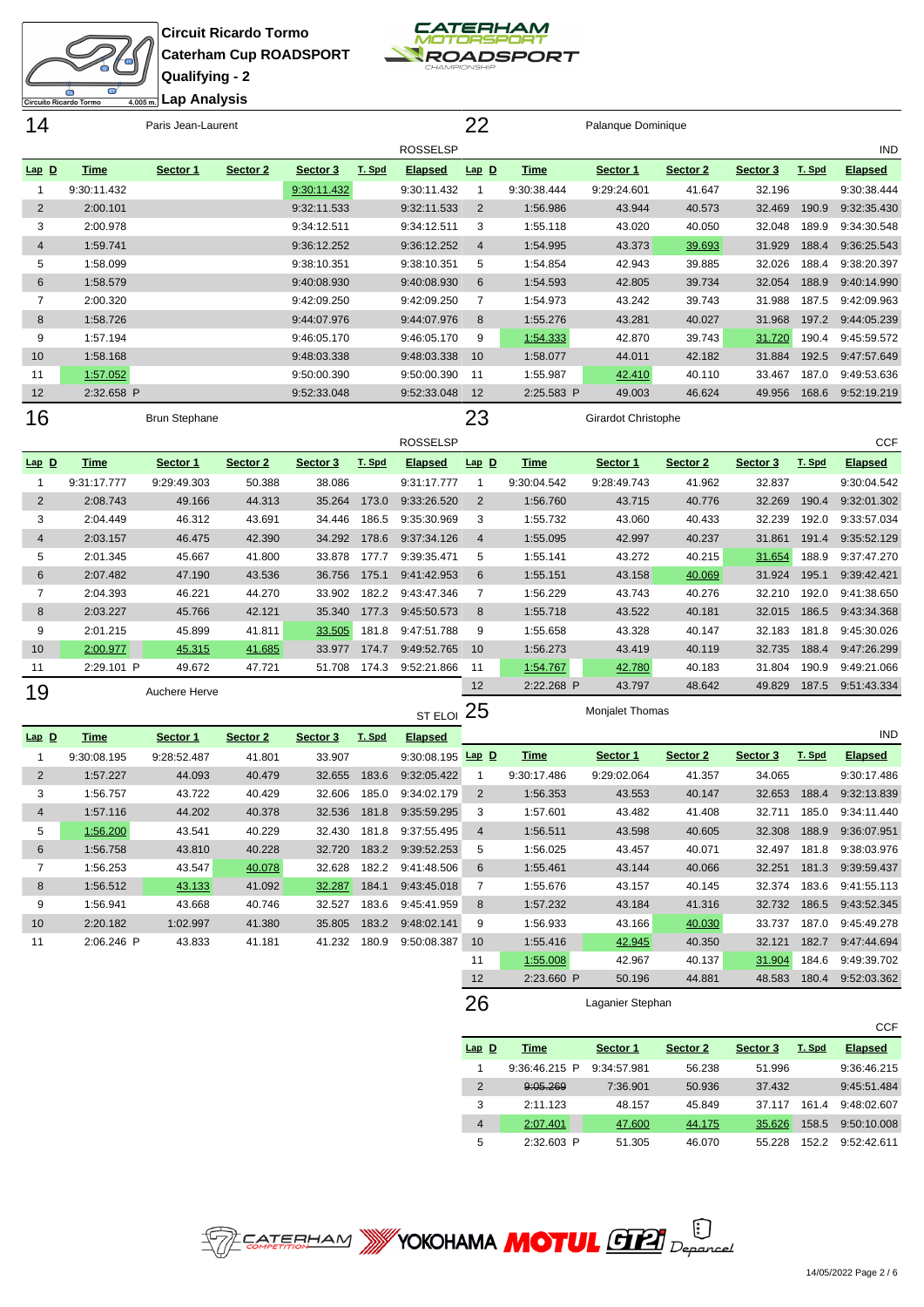

**Circuit Ricardo Tormo Caterham Cup ROADSPORT Qualifying - 2**

1:56.512 43.133 41.092 32.287 184.1 9:43:45.018



| Circuito Ricardo Tormo |             | 4.005m Lap Analysis  |          |             |              |                   |                 |             |                     |          |          |        |                |
|------------------------|-------------|----------------------|----------|-------------|--------------|-------------------|-----------------|-------------|---------------------|----------|----------|--------|----------------|
| 14                     |             | Paris Jean-Laurent   |          |             |              |                   | 22              |             | Palanque Dominique  |          |          |        |                |
|                        |             |                      |          |             |              | <b>ROSSELSP</b>   |                 |             |                     |          |          |        | <b>IND</b>     |
| $Lap$ $D$              | <b>Time</b> | Sector 1             | Sector 2 | Sector 3    | T. Spd       | <b>Elapsed</b>    | $Lap$ $D$       | <b>Time</b> | Sector 1            | Sector 2 | Sector 3 | T. Spd | <b>Elapsed</b> |
| $\mathbf{1}$           | 9:30:11.432 |                      |          | 9:30:11.432 |              | 9:30:11.432       | $\mathbf{1}$    | 9:30:38.444 | 9:29:24.601         | 41.647   | 32.196   |        | 9:30:38.444    |
| $\overline{2}$         | 2:00.101    |                      |          | 9:32:11.533 |              | 9:32:11.533       | 2               | 1:56.986    | 43.944              | 40.573   | 32.469   | 190.9  | 9:32:35.430    |
| 3                      | 2:00.978    |                      |          | 9:34:12.511 |              | 9:34:12.511       | 3               | 1:55.118    | 43.020              | 40.050   | 32.048   | 189.9  | 9:34:30.548    |
| $\overline{4}$         | 1:59.741    |                      |          | 9:36:12.252 |              | 9:36:12.252       | $\overline{4}$  | 1:54.995    | 43.373              | 39.693   | 31.929   | 188.4  | 9:36:25.543    |
| 5                      | 1:58.099    |                      |          | 9:38:10.351 |              | 9:38:10.351       | 5               | 1:54.854    | 42.943              | 39.885   | 32.026   | 188.4  | 9:38:20.397    |
| $\,6$                  | 1:58.579    |                      |          | 9:40:08.930 |              | 9:40:08.930       | 6               | 1:54.593    | 42.805              | 39.734   | 32.054   | 188.9  | 9:40:14.990    |
| $\overline{7}$         | 2:00.320    |                      |          | 9:42:09.250 |              | 9:42:09.250       | $\overline{7}$  | 1:54.973    | 43.242              | 39.743   | 31.988   | 187.5  | 9:42:09.963    |
| $\boldsymbol{8}$       | 1:58.726    |                      |          | 9:44:07.976 |              | 9:44:07.976       | 8               | 1:55.276    | 43.281              | 40.027   | 31.968   | 197.2  | 9:44:05.239    |
| 9                      | 1:57.194    |                      |          | 9:46:05.170 |              | 9:46:05.170       | 9               | 1:54.333    | 42.870              | 39.743   | 31.720   | 190.4  | 9:45:59.572    |
| 10                     | 1:58.168    |                      |          | 9:48:03.338 |              | 9:48:03.338       | 10              | 1:58.077    | 44.011              | 42.182   | 31.884   | 192.5  | 9:47:57.649    |
| 11                     | 1:57.052    |                      |          | 9:50:00.390 |              | 9:50:00.390       | 11              | 1:55.987    | 42.410              | 40.110   | 33.467   | 187.0  | 9:49:53.636    |
| 12                     | 2:32.658 P  |                      |          | 9:52:33.048 |              | 9:52:33.048       | 12              | 2:25.583 P  | 49.003              | 46.624   | 49.956   | 168.6  | 9:52:19.219    |
| 16                     |             | <b>Brun Stephane</b> |          |             |              |                   | 23              |             | Girardot Christophe |          |          |        |                |
|                        |             |                      |          |             |              | <b>ROSSELSP</b>   |                 |             |                     |          |          |        | <b>CCF</b>     |
| $Lap$ $D$              | <b>Time</b> | Sector 1             | Sector 2 | Sector 3    | T. Spd       | <b>Elapsed</b>    | $Lap$ $D$       | <b>Time</b> | Sector 1            | Sector 2 | Sector 3 | T. Spd | <b>Elapsed</b> |
| $\mathbf{1}$           | 9:31:17.777 | 9:29:49.303          | 50.388   | 38.086      |              | 9:31:17.777       | $\mathbf{1}$    | 9:30:04.542 | 9:28:49.743         | 41.962   | 32.837   |        | 9:30:04.542    |
| $\overline{2}$         | 2:08.743    | 49.166               | 44.313   | 35.264      | 173.0        | 9:33:26.520       | $\overline{2}$  | 1:56.760    | 43.715              | 40.776   | 32.269   | 190.4  | 9:32:01.302    |
| 3                      | 2:04.449    | 46.312               | 43.691   | 34.446      | 186.5        | 9:35:30.969       | 3               | 1:55.732    | 43.060              | 40.433   | 32.239   | 192.0  | 9:33:57.034    |
| $\overline{4}$         | 2:03.157    | 46.475               | 42.390   |             | 34.292 178.6 | 9:37:34.126       | $\overline{4}$  | 1:55.095    | 42.997              | 40.237   | 31.861   | 191.4  | 9:35:52.129    |
| 5                      | 2:01.345    | 45.667               | 41.800   | 33.878      | 177.7        | 9:39:35.471       | 5               | 1:55.141    | 43.272              | 40.215   | 31.654   | 188.9  | 9:37:47.270    |
| $\,6$                  | 2:07.482    | 47.190               | 43.536   | 36.756      | 175.1        | 9:41:42.953       | $6\phantom{1}6$ | 1:55.151    | 43.158              | 40.069   | 31.924   | 195.1  | 9:39:42.421    |
| $\overline{7}$         | 2:04.393    | 46.221               | 44.270   | 33.902      | 182.2        | 9:43:47.346       | $\overline{7}$  | 1:56.229    | 43.743              | 40.276   | 32.210   | 192.0  | 9:41:38.650    |
| $\bf 8$                | 2:03.227    | 45.766               | 42.121   | 35.340      | 177.3        | 9:45:50.573       | 8               | 1:55.718    | 43.522              | 40.181   | 32.015   | 186.5  | 9:43:34.368    |
| 9                      | 2:01.215    | 45.899               | 41.811   | 33.505      | 181.8        | 9:47:51.788       | 9               | 1:55.658    | 43.328              | 40.147   | 32.183   | 181.8  | 9:45:30.026    |
| 10                     | 2:00.977    | 45.315               | 41.685   | 33.977      | 174.7        | 9:49:52.765       | 10              | 1:56.273    | 43.419              | 40.119   | 32.735   | 188.4  | 9:47:26.299    |
| 11                     | 2:29.101 P  | 49.672               | 47.721   | 51.708      | 174.3        | 9:52:21.866       | 11              | 1:54.767    | 42.780              | 40.183   | 31.804   | 190.9  | 9:49:21.066    |
| 19                     |             | Auchere Herve        |          |             |              |                   | 12              | 2:22.268 P  | 43.797              | 48.642   | 49.829   | 187.5  | 9:51:43.334    |
|                        |             |                      |          |             |              | ST ELOI           | 25              |             | Monjalet Thomas     |          |          |        |                |
| $Lap$ $D$              | <b>Time</b> | Sector 1             | Sector 2 | Sector 3    | T. Spd       | <b>Elapsed</b>    |                 |             |                     |          |          |        | <b>IND</b>     |
| $\mathbf{1}$           | 9:30:08.195 | 9:28:52.487          | 41.801   | 33.907      |              | 9:30:08.195 Lap D |                 | <b>Time</b> | Sector 1            | Sector 2 | Sector 3 | T. Spd | <b>Elapsed</b> |
| $\overline{2}$         | 1:57.227    | 44.093               | 40.479   | 32.655      | 183.6        | 9:32:05.422       | $\mathbf{1}$    | 9:30:17.486 | 9:29:02.064         | 41.357   | 34.065   |        | 9:30:17.486    |
| 3                      | 1:56.757    | 43.722               | 40.429   | 32.606      | 185.0        | 9:34:02.179       | $\overline{2}$  | 1:56.353    | 43.553              | 40.147   | 32.653   | 188.4  | 9:32:13.839    |
| $\overline{4}$         | 1:57.116    | 44.202               | 40.378   | 32.536      | 181.8        | 9:35:59.295       | 3               | 1:57.601    | 43.482              | 41.408   | 32.711   | 185.0  | 9:34:11.440    |
| 5                      | 1:56.200    | 43.541               | 40.229   | 32.430      | 181.8        | 9:37:55.495       | $\overline{4}$  | 1:56.511    | 43.598              | 40.605   | 32.308   | 188.9  | 9:36:07.951    |
| $6\phantom{1}$         | 1:56.758    | 43.810               | 40.228   | 32.720      | 183.2        | 9:39:52.253       | $\sqrt{5}$      | 1:56.025    | 43.457              | 40.071   | 32.497   | 181.8  | 9:38:03.976    |
| $\overline{7}$         | 1:56.253    | 43.547               | 40.078   | 32.628      | 182.2        | 9:41:48.506       | 6               | 1:55.461    | 43.144              | 40.066   | 32.251   | 181.3  | 9:39:59.437    |

#### 1:56.941 43.668 40.746 32.527 183.6 9:45:41.959 2:20.182 1:02.997 41.380 35.805 183.2 9:48:02.141 2:06.246 P 43.833 41.181 41.232 180.9 9:50:08.387 1:57.232 43.184 41.316 32.732 186.5 9:43:52.345 1:56.933 43.166 40.030 33.737 187.0 9:45:49.278 1:55.416 42.945 40.350 32.121 182.7 9:47:44.694 1:55.008 42.967 40.137 31.904 184.6 9:49:39.702 2:23.660 P 50.196 44.881 48.583 180.4 9:52:03.362 26 Laganier Stephan

|                |                 |             |          |          |        | CCF            |
|----------------|-----------------|-------------|----------|----------|--------|----------------|
| $Lap$ D        | Time            | Sector 1    | Sector 2 | Sector 3 | T. Spd | <b>Elapsed</b> |
| 1              | $9:36:46.215$ P | 9:34:57.981 | 56.238   | 51.996   |        | 9:36:46.215    |
| $\overline{2}$ | 9:05.269        | 7:36.901    | 50.936   | 37.432   |        | 9:45:51.484    |
| 3              | 2:11.123        | 48.157      | 45.849   | 37 117   | 161.4  | 9:48:02.607    |
| 4              | 2:07.401        | 47.600      | 44.175   | 35.626   | 158.5  | 9:50:10.008    |
| 5              | 2:32.603 P      | 51.305      | 46.070   | 55.228   | 152.2  | 9:52:42.611    |

1:55.676 43.157 40.145 32.374 183.6 9:41:55.113

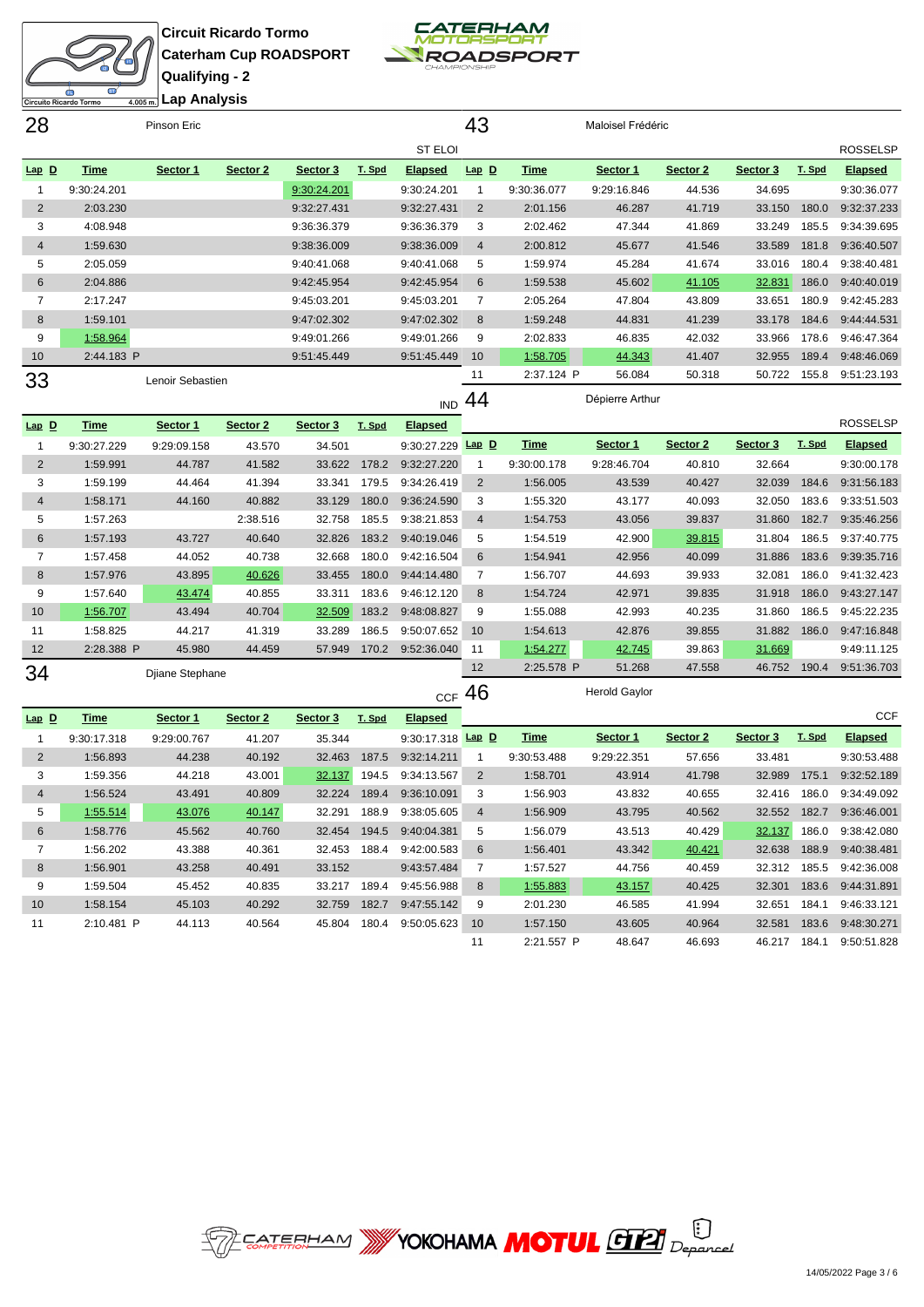



| 28             |             | Pinson Eric      |          |             |        |                | 43             |             | Maloisel Frédéric |          |          |        |                 |
|----------------|-------------|------------------|----------|-------------|--------|----------------|----------------|-------------|-------------------|----------|----------|--------|-----------------|
|                |             |                  |          |             |        | ST ELOI        |                |             |                   |          |          |        | <b>ROSSELSP</b> |
| $Lap$ $D$      | Time        | Sector 1         | Sector 2 | Sector 3    | T. Spd | <b>Elapsed</b> | $Lap$ $D$      | Time        | Sector 1          | Sector 2 | Sector 3 | T. Spd | <b>Elapsed</b>  |
|                | 9:30:24.201 |                  |          | 9:30:24.201 |        | 9:30:24.201    |                | 9:30:36.077 | 9:29:16.846       | 44.536   | 34.695   |        | 9:30:36.077     |
| $\overline{2}$ | 2:03.230    |                  |          | 9:32:27.431 |        | 9:32:27.431    | 2              | 2:01.156    | 46.287            | 41.719   | 33.150   | 180.0  | 9:32:37.233     |
| 3              | 4:08.948    |                  |          | 9:36:36.379 |        | 9:36:36.379    | 3              | 2:02.462    | 47.344            | 41.869   | 33.249   | 185.5  | 9:34:39.695     |
| $\overline{4}$ | 1:59.630    |                  |          | 9:38:36.009 |        | 9:38:36.009    | $\overline{4}$ | 2:00.812    | 45.677            | 41.546   | 33.589   | 181.8  | 9:36:40.507     |
| 5              | 2:05.059    |                  |          | 9:40:41.068 |        | 9:40:41.068    | 5              | 1:59.974    | 45.284            | 41.674   | 33.016   | 180.4  | 9:38:40.481     |
| 6              | 2:04.886    |                  |          | 9:42:45.954 |        | 9:42:45.954    | 6              | 1:59.538    | 45.602            | 41.105   | 32.831   | 186.0  | 9:40:40.019     |
| 7              | 2:17.247    |                  |          | 9:45:03.201 |        | 9:45:03.201    | 7              | 2:05.264    | 47.804            | 43.809   | 33.651   | 180.9  | 9:42:45.283     |
| 8              | 1:59.101    |                  |          | 9:47:02.302 |        | 9:47:02.302    | 8              | 1:59.248    | 44.831            | 41.239   | 33.178   | 184.6  | 9:44:44.531     |
| 9              | 1:58.964    |                  |          | 9:49:01.266 |        | 9:49:01.266    | 9              | 2:02.833    | 46.835            | 42.032   | 33.966   | 178.6  | 9:46:47.364     |
| 10             | 2:44.183 P  |                  |          | 9:51:45.449 |        | 9:51:45.449    | 10             | 1:58.705    | 44.343            | 41.407   | 32.955   | 189.4  | 9:48:46.069     |
| 33             |             | Lenoir Sebastien |          |             |        |                | 11             | 2:37.124 P  | 56.084            | 50.318   | 50.722   | 155.8  | 9:51:23.193     |
|                |             |                  |          |             |        |                | - -            |             |                   |          |          |        |                 |

 $\overline{1}$ IND 44

| $Lap$ D | <b>Time</b> | Sector 1        | Sector 2 | Sector 3 | T. Spd | <b>Elapsed</b> |           |             |             |          |          |        | <b>ROSSELSP</b> |
|---------|-------------|-----------------|----------|----------|--------|----------------|-----------|-------------|-------------|----------|----------|--------|-----------------|
|         | 9:30:27.229 | 9:29:09.158     | 43.570   | 34.501   |        | 9:30:27.229    | $Lap$ $D$ | <u>Time</u> | Sector 1    | Sector 2 | Sector 3 | T. Spd | <b>Elapsed</b>  |
| 2       | 1:59.991    | 44.787          | 41.582   | 33.622   | 178.2  | 9:32:27.220    |           | 9:30:00.178 | 9:28:46.704 | 40.810   | 32.664   |        | 9:30:00.178     |
| 3       | 1:59.199    | 44.464          | 41.394   | 33.341   | 179.5  | 9:34:26.419    | 2         | 1:56.005    | 43.539      | 40.427   | 32.039   | 184.6  | 9:31:56.183     |
| 4       | 1:58.171    | 44.160          | 40.882   | 33.129   | 180.0  | 9:36:24.590    | 3         | 1:55.320    | 43.177      | 40.093   | 32.050   | 183.6  | 9:33:51.503     |
| 5       | 1:57.263    |                 | 2:38.516 | 32.758   | 185.5  | 9:38:21.853    | 4         | 1:54.753    | 43.056      | 39.837   | 31.860   | 182.7  | 9:35:46.256     |
| 6       | 1:57.193    | 43.727          | 40.640   | 32.826   | 183.2  | 9:40:19.046    | 5         | 1:54.519    | 42.900      | 39.815   | 31.804   | 186.5  | 9:37:40.775     |
| 7       | 1:57.458    | 44.052          | 40.738   | 32.668   | 180.0  | 9:42:16.504    | 6         | 1:54.941    | 42.956      | 40.099   | 31.886   | 183.6  | 9:39:35.716     |
| 8       | 1:57.976    | 43.895          | 40.626   | 33.455   | 180.0  | 9:44:14.480    |           | 1:56.707    | 44.693      | 39.933   | 32.081   | 186.0  | 9:41:32.423     |
| 9       | 1:57.640    | 43.474          | 40.855   | 33.311   | 183.6  | 9:46:12.120    | 8         | 1:54.724    | 42.971      | 39.835   | 31.918   | 186.0  | 9:43:27.147     |
| 10      | 1:56.707    | 43.494          | 40.704   | 32.509   | 183.2  | 9:48:08.827    | 9         | 1:55.088    | 42.993      | 40.235   | 31.860   | 186.5  | 9:45:22.235     |
| 11      | 1:58.825    | 44.217          | 41.319   | 33.289   | 186.5  | 9:50:07.652    | 10        | 1:54.613    | 42.876      | 39.855   | 31.882   | 186.0  | 9:47:16.848     |
| 12      | 2:28.388 P  | 45.980          | 44.459   | 57.949   | 170.2  | 9:52:36.040    | 11        | 1:54.277    | 42.745      | 39.863   | 31.669   |        | 9:49:11.125     |
| 34      |             | Djiane Stephane |          |          |        |                | 12        | 2:25.578 P  | 51.268      | 47.558   | 46.752   | 190.4  | 9:51:36.703     |
|         |             |                 |          |          |        |                |           |             |             |          |          |        |                 |

 $CCF$  46

**Herold Gaylor** 

Dépierre Arthur

| Time        | Sector 1    | Sector 2 | Sector 3 | T. Spd | <b>Elapsed</b> |                |                                       |             |            |          |        | <b>CCF</b>     |
|-------------|-------------|----------|----------|--------|----------------|----------------|---------------------------------------|-------------|------------|----------|--------|----------------|
| 9:30:17.318 | 9:29:00.767 | 41.207   | 35.344   |        |                |                | Time                                  | Sector 1    | Sector 2   | Sector 3 | T. Spd | <b>Elapsed</b> |
| 1:56.893    | 44.238      | 40.192   | 32.463   | 187.5  | 9:32:14.211    |                | 9:30:53.488                           | 9:29:22.351 | 57.656     | 33.481   |        | 9:30:53.488    |
| 1:59.356    | 44.218      | 43.001   | 32.137   | 194.5  | 9:34:13.567    | $\overline{2}$ | 1:58.701                              | 43.914      | 41.798     | 32.989   | 175.1  | 9:32:52.189    |
| 1:56.524    | 43.491      | 40.809   | 32.224   | 189.4  | 9:36:10.091    | 3              | 1:56.903                              | 43.832      | 40.655     | 32.416   | 186.0  | 9:34:49.092    |
| 1:55.514    | 43.076      | 40.147   | 32.291   | 188.9  | 9:38:05.605    | 4              | 1:56.909                              | 43.795      | 40.562     | 32.552   | 182.7  | 9:36:46.001    |
| 1:58.776    | 45.562      | 40.760   | 32.454   | 194.5  | 9:40:04.381    | 5              | 1:56.079                              | 43.513      | 40.429     | 32.137   | 186.0  | 9:38:42.080    |
| 1:56.202    | 43.388      | 40.361   | 32.453   | 188.4  | 9:42:00.583    | 6              | 1:56.401                              | 43.342      | 40.421     | 32.638   | 188.9  | 9:40:38.481    |
| 1:56.901    | 43.258      | 40.491   | 33.152   |        | 9:43:57.484    |                | 1:57.527                              | 44.756      | 40.459     | 32.312   | 185.5  | 9:42:36.008    |
| 1:59.504    | 45.452      | 40.835   | 33.217   | 189.4  | 9:45:56.988    | 8              | 1:55.883                              | 43.157      | 40.425     | 32.301   | 183.6  | 9:44:31.891    |
| 1:58.154    | 45.103      | 40.292   | 32.759   | 182.7  | 9:47:55.142    | 9              | 2:01.230                              | 46.585      | 41.994     | 32.651   | 184.1  | 9:46:33.121    |
| 2:10.481 P  | 44.113      | 40.564   | 45.804   | 180.4  |                | 10             | 1:57.150                              | 43.605      | 40.964     | 32.581   | 183.6  | 9:48:30.271    |
|             |             |          |          |        |                | 11             |                                       | 48.647      | 46.693     | 46.217   | 184.1  | 9:50:51.828    |
|             |             |          |          |        |                |                | $Lap$ D<br>9:30:17.318<br>9:50:05.623 |             | 2:21.557 P |          |        |                |

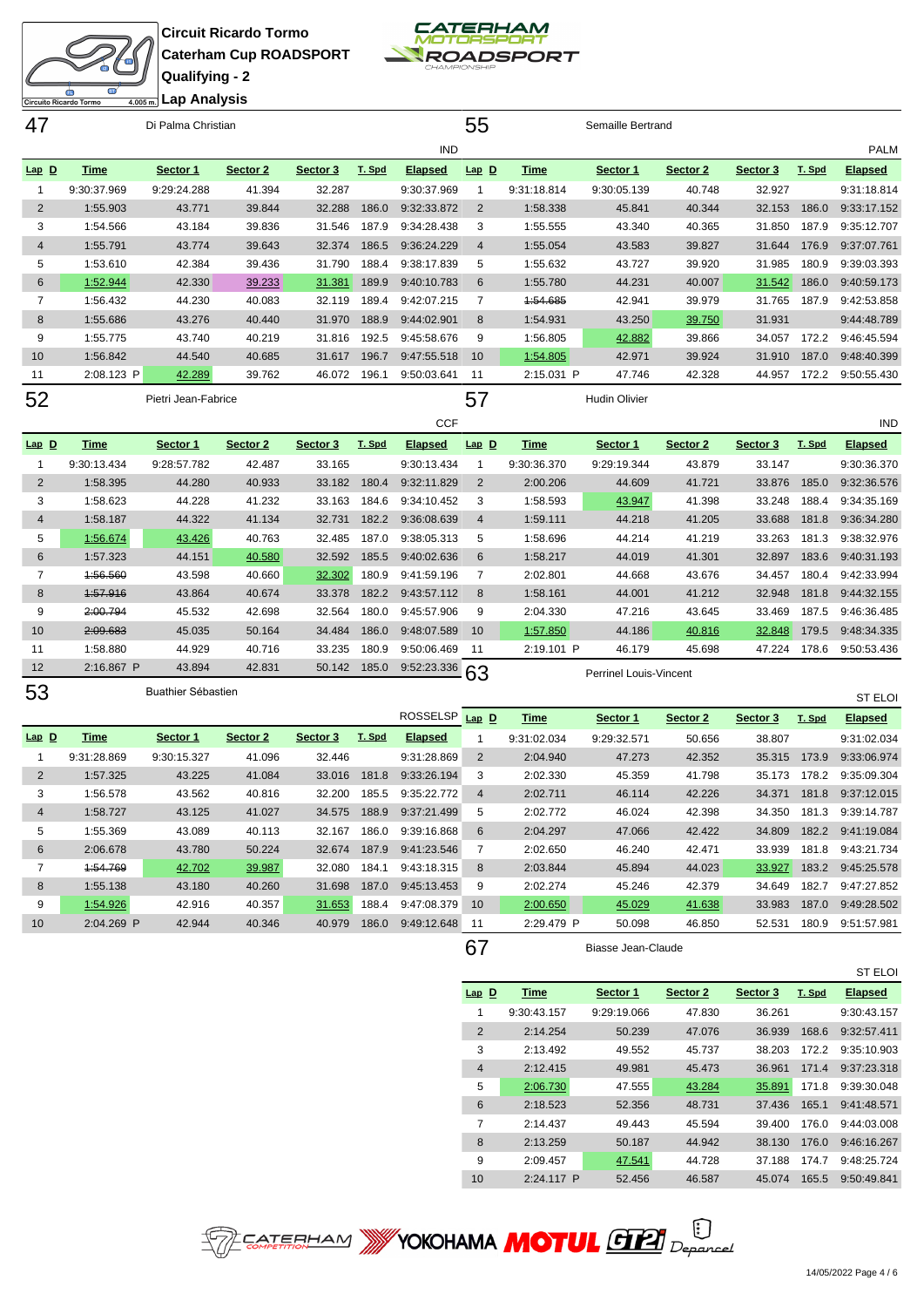



| 47             |             | Di Palma Christian  |          |          |        |                | 55             |             | Semaille Bertrand    |          |          |        |                |
|----------------|-------------|---------------------|----------|----------|--------|----------------|----------------|-------------|----------------------|----------|----------|--------|----------------|
|                |             |                     |          |          |        | <b>IND</b>     |                |             |                      |          |          |        | <b>PALM</b>    |
| $Lap$ $D$      | Time        | Sector 1            | Sector 2 | Sector 3 | T. Spd | <b>Elapsed</b> | $Lap$ $D$      | <b>Time</b> | Sector 1             | Sector 2 | Sector 3 | T. Spd | <b>Elapsed</b> |
|                | 9:30:37.969 | 9:29:24.288         | 41.394   | 32.287   |        | 9:30:37.969    |                | 9:31:18.814 | 9:30:05.139          | 40.748   | 32.927   |        | 9:31:18.814    |
| $\overline{2}$ | 1:55.903    | 43.771              | 39.844   | 32.288   | 186.0  | 9:32:33.872    | $\overline{2}$ | 1:58.338    | 45.841               | 40.344   | 32.153   | 186.0  | 9:33:17.152    |
| 3              | 1:54.566    | 43.184              | 39.836   | 31.546   | 187.9  | 9:34:28.438    | 3              | 1:55.555    | 43.340               | 40.365   | 31.850   | 187.9  | 9:35:12.707    |
| $\overline{4}$ | 1:55.791    | 43.774              | 39.643   | 32.374   | 186.5  | 9:36:24.229    | $\overline{4}$ | 1:55.054    | 43.583               | 39.827   | 31.644   | 176.9  | 9:37:07.761    |
| 5              | 1:53.610    | 42.384              | 39.436   | 31.790   | 188.4  | 9:38:17.839    | 5              | 1:55.632    | 43.727               | 39.920   | 31.985   | 180.9  | 9:39:03.393    |
| 6              | 1:52.944    | 42.330              | 39.233   | 31.381   | 189.9  | 9:40:10.783    | 6              | 1:55.780    | 44.231               | 40.007   | 31.542   | 186.0  | 9:40:59.173    |
| 7              | 1:56.432    | 44.230              | 40.083   | 32.119   | 189.4  | 9:42:07.215    | $\overline{7}$ | 1:54.685    | 42.941               | 39.979   | 31.765   | 187.9  | 9:42:53.858    |
| 8              | 1:55.686    | 43.276              | 40.440   | 31.970   | 188.9  | 9:44:02.901    | 8              | 1:54.931    | 43.250               | 39.750   | 31.931   |        | 9:44:48.789    |
| 9              | 1:55.775    | 43.740              | 40.219   | 31.816   | 192.5  | 9:45:58.676    | 9              | 1:56.805    | 42.882               | 39.866   | 34.057   | 172.2  | 9:46:45.594    |
| 10             | 1:56.842    | 44.540              | 40.685   | 31.617   | 196.7  | 9:47:55.518    | 10             | 1:54.805    | 42.971               | 39.924   | 31.910   | 187.0  | 9:48:40.399    |
| 11             | 2:08.123 P  | 42.289              | 39.762   | 46.072   | 196.1  | 9:50:03.641    | 11             | 2:15.031 P  | 47.746               | 42.328   | 44.957   | 172.2  | 9:50:55.430    |
| 52             |             | Pietri Jean-Fabrice |          |          |        |                | 57             |             | <b>Hudin Olivier</b> |          |          |        |                |

**CCF Lap D Time Sector 1 Sector 2 Sector 3 T. Spd Elapsed** 9:30:13.434 9:28:57.782 42.487 33.165 9:30:13.434 1:58.395 44.280 40.933 33.182 180.4 9:32:11.829 1:58.623 44.228 41.232 33.163 184.6 9:34:10.452 1:58.187 44.322 41.134 32.731 182.2 9:36:08.639 1:56.674 43.426 40.763 32.485 187.0 9:38:05.313 1:57.323 44.151 40.580 32.592 185.5 9:40:02.636 7 1:56.560 43.598 40.660 32.302 180.9 9:41:59.196 1:57.916 43.864 40.674 33.378 182.2 9:43:57.112 2:00.794 45.532 42.698 32.564 180.0 9:45:57.906 2:09.683 45.035 50.164 34.484 186.0 9:48:07.589 1:58.880 44.929 40.716 33.235 180.9 9:50:06.469 2:16.867 P 43.894 42.831 50.142 185.0 9:52:23.336 53 Buathier Sébastien IND **Lap D Time Sector 1 Sector 2 Sector 3 T. Spd Elapsed** 9:30:36.370 9:29:19.344 43.879 33.147 9:30:36.370 2:00.206 44.609 41.721 33.876 185.0 9:32:36.576 1:58.593 43.947 41.398 33.248 188.4 9:34:35.169 1:59.111 44.218 41.205 33.688 181.8 9:36:34.280 1:58.696 44.214 41.219 33.263 181.3 9:38:32.976 1:58.217 44.019 41.301 32.897 183.6 9:40:31.193 2:02.801 44.668 43.676 34.457 180.4 9:42:33.994 1:58.161 44.001 41.212 32.948 181.8 9:44:32.155 2:04.330 47.216 43.645 33.469 187.5 9:46:36.485 10 1:57.850 44.186 40.816 32.848 179.5 9:48:34.335 2:19.101 P 46.179 45.698 47.224 178.6 9:50:53.436 63 Perrinel Louis-Vincent ST ELOI

| Time<br><b>Elapsed</b><br>Sector 1<br>Sector 2<br>T. Spd<br>Sector 3<br>9:31:02.034<br>9:29:32.571<br>50.656<br>38.807<br>32.446<br>9:31:28.869<br>9:31:28.869<br>41.096<br>2<br>2:04.940<br>42.352<br>35.315<br>9:30:15.327<br>47.273<br>173.9<br>43.225<br>41.084<br>181.8<br>9:33:26.194<br>3<br>2:02.330<br>41.798<br>35.173<br>2<br>1:57.325<br>33.016<br>45.359<br>178.2<br>40.816<br>185.5<br>9:35:22.772<br>3<br>1:56.578<br>43.562<br>32.200<br>2:02.711<br>42.226<br>46.114<br>34.371<br>181.8<br>4<br>43.125<br>41.027<br>188.9<br>9:37:21.499<br>34.575<br>5<br>2:02.772<br>42.398<br>34.350<br>181.3<br>1:58.727<br>46.024<br>4<br>43.089<br>40.113<br>9:39:16.868<br>5<br>1:55.369<br>32.167<br>186.0<br>6<br>2:04.297<br>47.066<br>42.422<br>34.809<br>182.2<br>6<br>43.780<br>50.224<br>187.9<br>9:41:23.546<br>2:02.650<br>2:06.678<br>32.674<br>46.240<br>42.471<br>33.939<br>181.8<br>39.987<br>4:54.769<br>42.702<br>44.023<br>184.1<br>9:43:18.315<br>2:03.844<br>33.927<br>183.2<br>32.080<br>8<br>45.894<br>43.180<br>40.260<br>8<br>1:55.138<br>31.698<br>187.0<br>2:02.274<br>42.379<br>9:45:13.453<br>9<br>45.246<br>34.649<br>182.7<br>9<br>1:54.926<br>42.916<br>40.357<br>41.638<br>31.653<br>188.4<br>9:47:08.379<br>2:00.650<br>45.029<br>33.983<br>187.0<br>10<br>2:04.269 P<br>186.0<br>40.979<br>9:49:12.648<br>2:29.479 P<br>180.9<br>10<br>50.098<br>52.531<br>11 |         |        |        |  | ROSSELSP Lap D | Time | Sector 1 | Sector 2 | Sector 3 | T. Spd | <b>Elapsed</b> |
|-------------------------------------------------------------------------------------------------------------------------------------------------------------------------------------------------------------------------------------------------------------------------------------------------------------------------------------------------------------------------------------------------------------------------------------------------------------------------------------------------------------------------------------------------------------------------------------------------------------------------------------------------------------------------------------------------------------------------------------------------------------------------------------------------------------------------------------------------------------------------------------------------------------------------------------------------------------------------------------------------------------------------------------------------------------------------------------------------------------------------------------------------------------------------------------------------------------------------------------------------------------------------------------------------------------------------------------------------------------------------------------------------------|---------|--------|--------|--|----------------|------|----------|----------|----------|--------|----------------|
|                                                                                                                                                                                                                                                                                                                                                                                                                                                                                                                                                                                                                                                                                                                                                                                                                                                                                                                                                                                                                                                                                                                                                                                                                                                                                                                                                                                                       | $Lap$ D |        |        |  |                |      |          |          |          |        | 9:31:02.034    |
|                                                                                                                                                                                                                                                                                                                                                                                                                                                                                                                                                                                                                                                                                                                                                                                                                                                                                                                                                                                                                                                                                                                                                                                                                                                                                                                                                                                                       |         |        |        |  |                |      |          |          |          |        | 9:33:06.974    |
|                                                                                                                                                                                                                                                                                                                                                                                                                                                                                                                                                                                                                                                                                                                                                                                                                                                                                                                                                                                                                                                                                                                                                                                                                                                                                                                                                                                                       |         |        |        |  |                |      |          |          |          |        | 9:35:09.304    |
|                                                                                                                                                                                                                                                                                                                                                                                                                                                                                                                                                                                                                                                                                                                                                                                                                                                                                                                                                                                                                                                                                                                                                                                                                                                                                                                                                                                                       |         |        |        |  |                |      |          |          |          |        | 9:37:12.015    |
|                                                                                                                                                                                                                                                                                                                                                                                                                                                                                                                                                                                                                                                                                                                                                                                                                                                                                                                                                                                                                                                                                                                                                                                                                                                                                                                                                                                                       |         |        |        |  |                |      |          |          |          |        | 9:39:14.787    |
|                                                                                                                                                                                                                                                                                                                                                                                                                                                                                                                                                                                                                                                                                                                                                                                                                                                                                                                                                                                                                                                                                                                                                                                                                                                                                                                                                                                                       |         |        |        |  |                |      |          |          |          |        | 9:41:19.084    |
|                                                                                                                                                                                                                                                                                                                                                                                                                                                                                                                                                                                                                                                                                                                                                                                                                                                                                                                                                                                                                                                                                                                                                                                                                                                                                                                                                                                                       |         |        |        |  |                |      |          |          |          |        | 9:43:21.734    |
|                                                                                                                                                                                                                                                                                                                                                                                                                                                                                                                                                                                                                                                                                                                                                                                                                                                                                                                                                                                                                                                                                                                                                                                                                                                                                                                                                                                                       |         |        |        |  |                |      |          |          |          |        | 9:45:25.578    |
|                                                                                                                                                                                                                                                                                                                                                                                                                                                                                                                                                                                                                                                                                                                                                                                                                                                                                                                                                                                                                                                                                                                                                                                                                                                                                                                                                                                                       |         |        |        |  |                |      |          |          |          |        | 9:47:27.852    |
|                                                                                                                                                                                                                                                                                                                                                                                                                                                                                                                                                                                                                                                                                                                                                                                                                                                                                                                                                                                                                                                                                                                                                                                                                                                                                                                                                                                                       |         |        |        |  |                |      |          |          |          |        | 9:49:28.502    |
|                                                                                                                                                                                                                                                                                                                                                                                                                                                                                                                                                                                                                                                                                                                                                                                                                                                                                                                                                                                                                                                                                                                                                                                                                                                                                                                                                                                                       |         | 42.944 | 40.346 |  |                |      |          | 46.850   |          |        | 9:51:57.981    |

67 Biasse Jean-Claude

ST ELOI **Lap D Time Sector 1 Sector 2 Sector 3 T. Spd Elapsed** 9:30:43.157 9:29:19.066 47.830 36.261 9:30:43.157 2:14.254 50.239 47.076 36.939 168.6 9:32:57.411 2:13.492 49.552 45.737 38.203 172.2 9:35:10.903 2:12.415 49.981 45.473 36.961 171.4 9:37:23.318 2:06.730 47.555 43.284 35.891 171.8 9:39:30.048 2:18.523 52.356 48.731 37.436 165.1 9:41:48.571 2:14.437 49.443 45.594 39.400 176.0 9:44:03.008 2:13.259 50.187 44.942 38.130 176.0 9:46:16.267 2:09.457 47.541 44.728 37.188 174.7 9:48:25.724 2:24.117 P 52.456 46.587 45.074 165.5 9:50:49.841

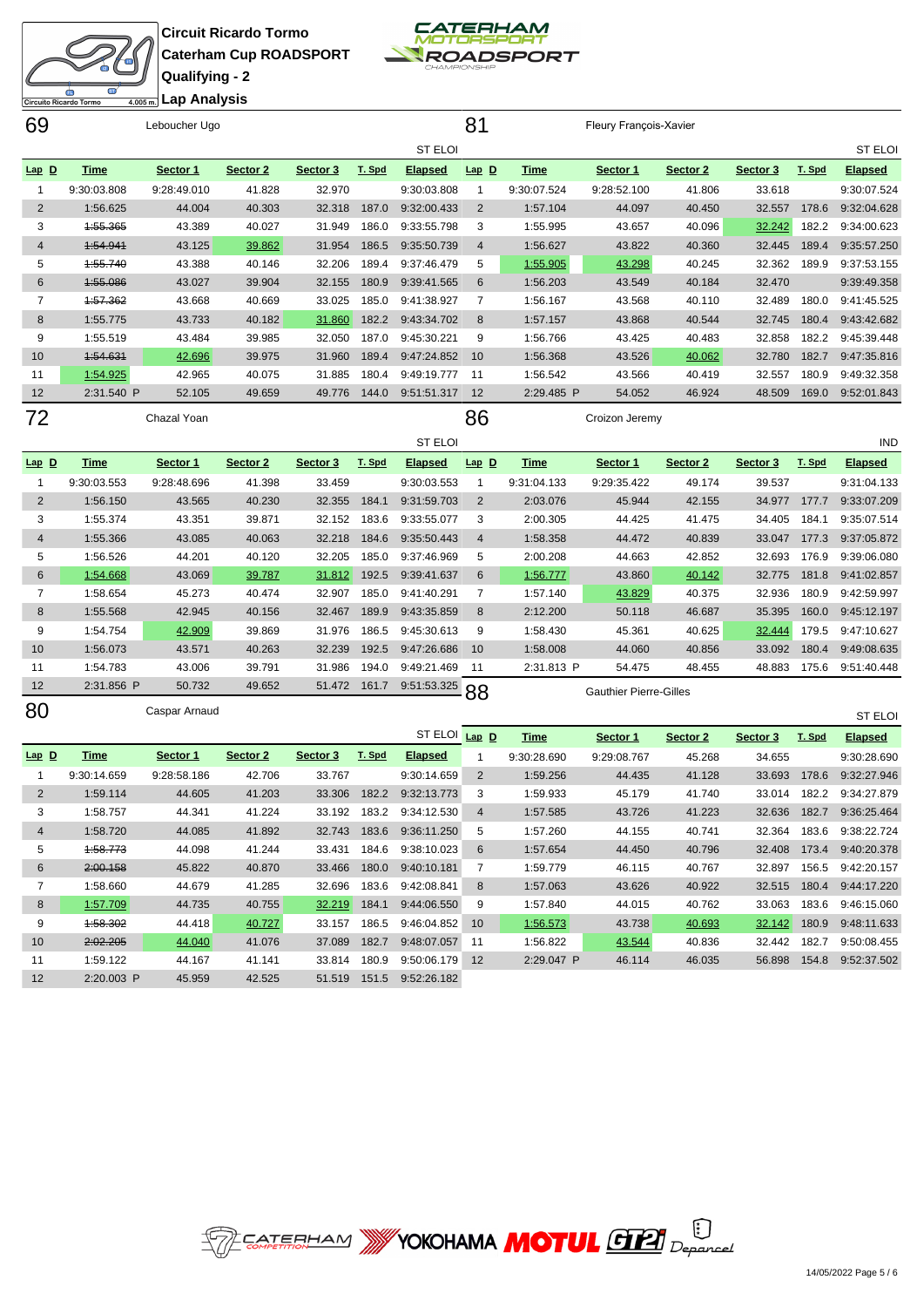Ò **Lap Analysis**iito Ricardo Tormo

**Circuit Ricardo Tormo Caterham Cup ROADSPORT Qualifying - 2**

 1:59.122 44.167 41.141 33.814 180.9 9:50:06.179 2:20.003 P 45.959 42.525 51.519 151.5 9:52:26.182

**CATERHAM**<br>MOTORSPORT ROADSPORT

| 69             |             | Leboucher Ugo |          |              |        |                                | 81             |             | Fleury François-Xavier        |          |          |              |                          |
|----------------|-------------|---------------|----------|--------------|--------|--------------------------------|----------------|-------------|-------------------------------|----------|----------|--------------|--------------------------|
|                |             |               |          |              |        | <b>ST ELOI</b>                 |                |             |                               |          |          |              | <b>ST ELOI</b>           |
| $Lap$ $D$      | <b>Time</b> | Sector 1      | Sector 2 | Sector 3     | T. Spd | <b>Elapsed</b>                 | $Lap$ $D$      | <b>Time</b> | Sector 1                      | Sector 2 | Sector 3 | T. Spd       | <b>Elapsed</b>           |
| $\overline{1}$ | 9:30:03.808 | 9:28:49.010   | 41.828   | 32.970       |        | 9:30:03.808                    | $\overline{1}$ | 9:30:07.524 | 9:28:52.100                   | 41.806   | 33.618   |              | 9:30:07.524              |
| $\overline{2}$ | 1:56.625    | 44.004        | 40.303   | 32.318       | 187.0  | 9:32:00.433                    | $\overline{2}$ | 1:57.104    | 44.097                        | 40.450   | 32.557   | 178.6        | 9:32:04.628              |
| 3              | 1:55.365    | 43.389        | 40.027   | 31.949       | 186.0  | 9:33:55.798                    | 3              | 1:55.995    | 43.657                        | 40.096   | 32.242   | 182.2        | 9:34:00.623              |
| 4              | 1:54.941    | 43.125        | 39.862   | 31.954       | 186.5  | 9:35:50.739                    | $\overline{4}$ | 1:56.627    | 43.822                        | 40.360   | 32.445   | 189.4        | 9:35:57.250              |
| 5              | 1:55.740    | 43.388        | 40.146   | 32.206       | 189.4  | 9:37:46.479                    | 5              | 1:55.905    | 43.298                        | 40.245   | 32.362   | 189.9        | 9:37:53.155              |
| 6              | 4:55.086    | 43.027        | 39.904   | 32.155       | 180.9  | 9:39:41.565                    | 6              | 1:56.203    | 43.549                        | 40.184   | 32.470   |              | 9:39:49.358              |
| 7              | 1:57.362    | 43.668        | 40.669   | 33.025       | 185.0  | 9:41:38.927                    | 7              | 1:56.167    | 43.568                        | 40.110   | 32.489   | 180.0        | 9:41:45.525              |
| 8              | 1:55.775    | 43.733        | 40.182   | 31.860       | 182.2  | 9:43:34.702                    | 8              | 1:57.157    | 43.868                        | 40.544   | 32.745   | 180.4        | 9:43:42.682              |
| 9              | 1:55.519    | 43.484        | 39.985   | 32.050       | 187.0  | 9:45:30.221                    | 9              | 1:56.766    | 43.425                        | 40.483   | 32.858   | 182.2        | 9:45:39.448              |
| 10             | 1:54.631    | 42.696        | 39.975   | 31.960       | 189.4  | 9:47:24.852                    | 10             | 1:56.368    | 43.526                        | 40.062   | 32.780   | 182.7        | 9:47:35.816              |
| 11             | 1:54.925    | 42.965        | 40.075   | 31.885       | 180.4  | 9:49:19.777                    | 11             | 1:56.542    | 43.566                        | 40.419   | 32.557   | 180.9        | 9:49:32.358              |
| 12             | 2:31.540 P  | 52.105        | 49.659   | 49.776       | 144.0  | 9:51:51.317                    | 12             | 2:29.485 P  | 54.052                        | 46.924   | 48.509   | 169.0        | 9:52:01.843              |
| 72             |             | Chazal Yoan   |          |              |        |                                | 86             |             | Croizon Jeremy                |          |          |              |                          |
|                |             |               |          |              |        | <b>ST ELOI</b>                 |                |             |                               |          |          |              | IND                      |
| Lap D          | <b>Time</b> | Sector 1      | Sector 2 | Sector 3     | T. Spd | <b>Elapsed</b>                 | $Lap$ $D$      | <b>Time</b> | Sector 1                      | Sector 2 | Sector 3 | T. Spd       | <b>Elapsed</b>           |
| $\mathbf{1}$   | 9:30:03.553 | 9:28:48.696   | 41.398   | 33.459       |        | 9:30:03.553                    | $\overline{1}$ | 9:31:04.133 | 9:29:35.422                   | 49.174   | 39.537   |              | 9:31:04.133              |
| $\overline{2}$ | 1:56.150    | 43.565        | 40.230   | 32.355       | 184.1  | 9:31:59.703                    | $\overline{2}$ | 2:03.076    | 45.944                        | 42.155   | 34.977   | 177.7        | 9:33:07.209              |
| 3              | 1:55.374    | 43.351        | 39.871   | 32.152       | 183.6  | 9:33:55.077                    | 3              | 2:00.305    | 44.425                        | 41.475   | 34.405   | 184.1        | 9:35:07.514              |
| $\overline{4}$ | 1:55.366    | 43.085        | 40.063   | 32.218       | 184.6  | 9:35:50.443                    | 4              | 1:58.358    | 44.472                        | 40.839   | 33.047   | 177.3        | 9:37:05.872              |
| 5              | 1:56.526    | 44.201        | 40.120   | 32.205       | 185.0  | 9:37:46.969                    | 5              | 2:00.208    | 44.663                        | 42.852   | 32.693   | 176.9        | 9:39:06.080              |
| 6              | 1:54.668    | 43.069        | 39.787   | 31.812       | 192.5  | 9:39:41.637                    | 6              | 1:56.777    | 43.860                        | 40.142   | 32.775   | 181.8        | 9:41:02.857              |
| 7              | 1:58.654    | 45.273        | 40.474   | 32.907       | 185.0  | 9:41:40.291                    | 7              | 1:57.140    | 43.829                        | 40.375   | 32.936   | 180.9        | 9:42:59.997              |
| 8              | 1:55.568    | 42.945        | 40.156   | 32.467       | 189.9  | 9:43:35.859                    | 8              | 2:12.200    | 50.118                        | 46.687   | 35.395   | 160.0        | 9:45:12.197              |
| 9              | 1:54.754    | 42.909        | 39.869   | 31.976       | 186.5  | 9:45:30.613                    | 9              | 1:58.430    | 45.361                        | 40.625   | 32.444   | 179.5        | 9:47:10.627              |
| 10             | 1:56.073    | 43.571        | 40.263   | 32.239       | 192.5  | 9:47:26.686                    | 10             | 1:58.008    | 44.060                        | 40.856   | 33.092   | 180.4        | 9:49:08.635              |
| 11             | 1:54.783    | 43.006        | 39.791   | 31.986       | 194.0  | 9:49:21.469                    | 11             | 2:31.813 P  | 54.475                        | 48.455   | 48.883   | 175.6        | 9:51:40.448              |
| 12             | 2:31.856 P  | 50.732        | 49.652   | 51.472       | 161.7  | 9:51:53.325                    | 88             |             | <b>Gauthier Pierre-Gilles</b> |          |          |              |                          |
| 80             |             | Caspar Arnaud |          |              |        |                                |                |             |                               |          |          |              | <b>ST ELOI</b>           |
|                |             |               |          |              |        | ST ELOI                        | $Lap$ D        | <b>Time</b> | Sector 1                      | Sector 2 | Sector 3 | T. Spd       | <b>Elapsed</b>           |
| $Lap$ $D$      | <b>Time</b> | Sector 1      | Sector 2 | Sector 3     | T. Spd | <b>Elapsed</b>                 | $\mathbf{1}$   | 9:30:28.690 | 9:29:08.767                   | 45.268   | 34.655   |              | 9:30:28.690              |
| $\mathbf{1}$   | 9:30:14.659 | 9:28:58.186   | 42.706   | 33.767       |        | 9:30:14.659                    | 2              | 1:59.256    | 44.435                        | 41.128   | 33.693   | 178.6        | 9:32:27.946              |
| $\overline{2}$ | 1:59.114    | 44.605        | 41.203   | 33.306       | 182.2  | 9:32:13.773                    | 3              | 1:59.933    | 45.179                        | 41.740   | 33.014   | 182.2        | 9:34:27.879              |
| 3              | 1:58.757    | 44.341        | 41.224   |              |        | 33.192 183.2 9:34:12.530       | $\overline{4}$ | 1:57.585    | 43.726                        | 41.223   |          |              | 32.636 182.7 9:36:25.464 |
| $\overline{4}$ | 1:58.720    | 44.085        | 41.892   |              |        | 32.743 183.6 9:36:11.250       | 5              | 1:57.260    | 44.155                        | 40.741   |          |              | 32.364 183.6 9:38:22.724 |
| 5              | 1:58.773    | 44.098        | 41.244   | 33.431 184.6 |        | 9:38:10.023                    | 6              | 1:57.654    | 44.450                        | 40.796   |          |              | 32.408 173.4 9:40:20.378 |
| 6              | 2:00.158    | 45.822        | 40.870   |              |        | 33.466 180.0 9:40:10.181       | $\overline{7}$ | 1:59.779    | 46.115                        | 40.767   |          |              | 32.897 156.5 9:42:20.157 |
| $\overline{7}$ | 1:58.660    | 44.679        | 41.285   |              |        | 32.696 183.6 9:42:08.841       | 8              | 1:57.063    | 43.626                        | 40.922   |          |              | 32.515 180.4 9:44:17.220 |
| 8              | 1:57.709    | 44.735        | 40.755   |              |        | 32.219 184.1 9:44:06.550       | 9              | 1:57.840    | 44.015                        | 40.762   |          | 33.063 183.6 | 9:46:15.060              |
| 9              | 1:58.302    | 44.418        | 40.727   | 33.157 186.5 |        | 9:46:04.852                    | 10             | 1:56.573    | 43.738                        | 40.693   |          | 32.142 180.9 | 9:48:11.633              |
| 10             | 2:02.205    | 44.040        | 41.076   |              |        | 37.089  182.7  9:48:07.057  11 |                | 1:56.822    | 43.544                        | 40.836   |          |              | 32.442 182.7 9:50:08.455 |



2:29.047 P 46.114 46.035 56.898 154.8 9:52:37.502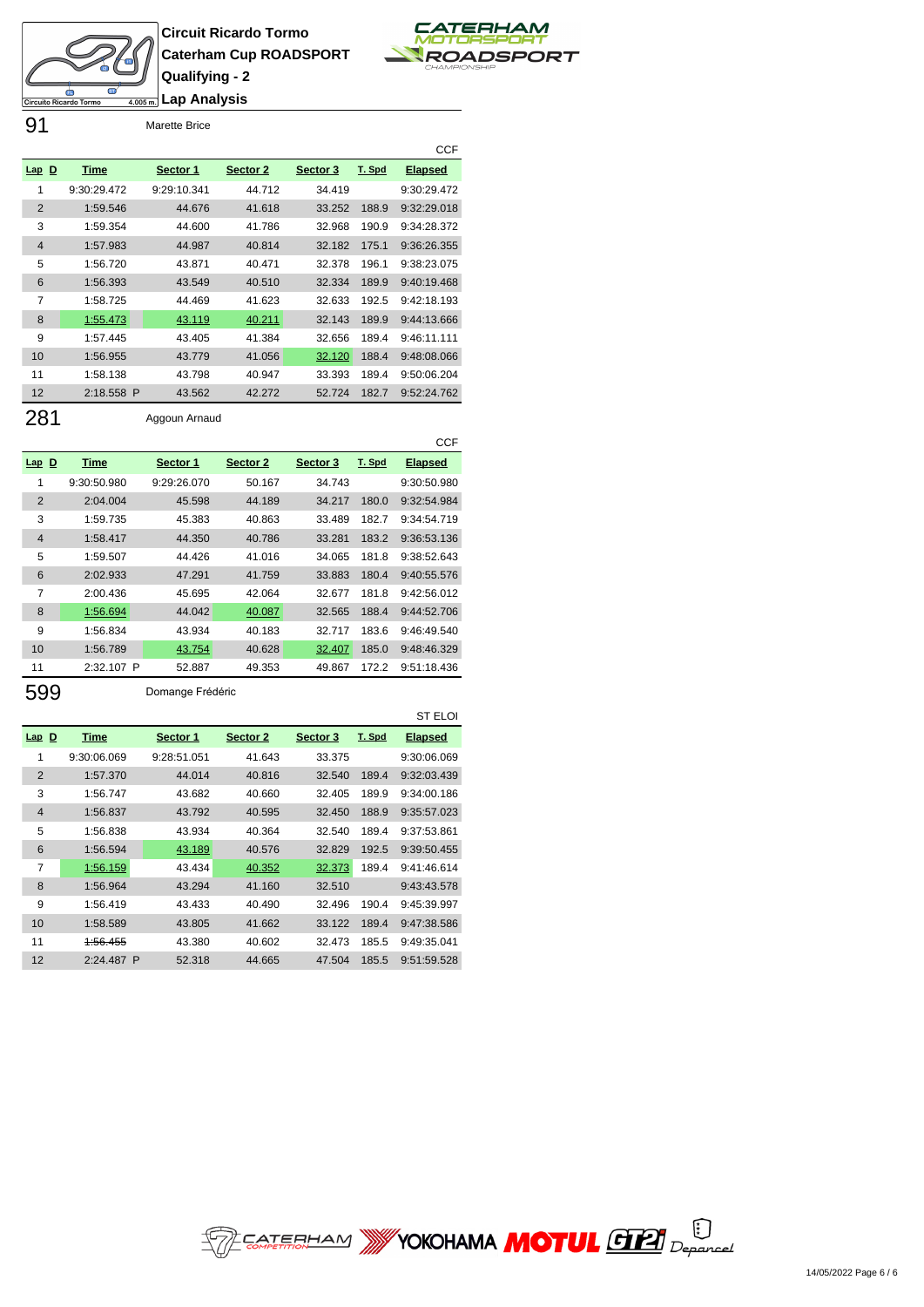



91 Marette Brice

|                |             |             |          |          |        | <b>CCF</b>     |
|----------------|-------------|-------------|----------|----------|--------|----------------|
| $Lap$ D        | Time        | Sector 1    | Sector 2 | Sector 3 | T. Spd | <b>Elapsed</b> |
| 1              | 9:30:29.472 | 9:29:10.341 | 44.712   | 34.419   |        | 9:30:29.472    |
| $\overline{2}$ | 1:59.546    | 44.676      | 41.618   | 33.252   | 188.9  | 9:32:29.018    |
| 3              | 1:59.354    | 44.600      | 41.786   | 32.968   | 190.9  | 9:34:28.372    |
| $\overline{4}$ | 1:57.983    | 44.987      | 40.814   | 32.182   | 175.1  | 9:36:26.355    |
| 5              | 1:56.720    | 43.871      | 40.471   | 32.378   | 196.1  | 9:38:23.075    |
| 6              | 1:56.393    | 43.549      | 40.510   | 32.334   | 189.9  | 9:40:19.468    |
| 7              | 1:58.725    | 44.469      | 41.623   | 32.633   | 192.5  | 9:42:18.193    |
| 8              | 1:55.473    | 43.119      | 40.211   | 32.143   | 189.9  | 9:44:13.666    |
| 9              | 1:57.445    | 43.405      | 41.384   | 32.656   | 189.4  | 9:46:11.111    |
| 10             | 1:56.955    | 43.779      | 41.056   | 32.120   | 188.4  | 9:48:08.066    |
| 11             | 1:58.138    | 43.798      | 40.947   | 33.393   | 189.4  | 9:50:06.204    |
| 12             | 2:18.558 P  | 43.562      | 42.272   | 52.724   | 182.7  | 9:52:24.762    |

281 Aggoun Arnaud

|                |             |             |          |          |        | <b>CCF</b>     |
|----------------|-------------|-------------|----------|----------|--------|----------------|
| $Lap$ D        | Time        | Sector 1    | Sector 2 | Sector 3 | T. Spd | <b>Elapsed</b> |
| 1              | 9:30:50.980 | 9:29:26.070 | 50.167   | 34.743   |        | 9:30:50.980    |
| $\overline{2}$ | 2:04.004    | 45.598      | 44.189   | 34.217   | 180.0  | 9:32:54.984    |
| 3              | 1:59.735    | 45.383      | 40.863   | 33.489   | 182.7  | 9:34:54.719    |
| $\overline{4}$ | 1:58.417    | 44.350      | 40.786   | 33.281   | 183.2  | 9:36:53.136    |
| 5              | 1:59.507    | 44.426      | 41.016   | 34.065   | 181.8  | 9:38:52.643    |
| 6              | 2:02.933    | 47.291      | 41.759   | 33.883   | 180.4  | 9:40:55.576    |
| 7              | 2:00.436    | 45.695      | 42.064   | 32.677   | 181.8  | 9:42:56.012    |
| 8              | 1:56.694    | 44.042      | 40.087   | 32.565   | 188.4  | 9:44:52.706    |
| 9              | 1:56.834    | 43.934      | 40.183   | 32.717   | 183.6  | 9:46:49.540    |
| 10             | 1:56.789    | 43.754      | 40.628   | 32.407   | 185.0  | 9:48:46.329    |
| 11             | 2:32.107 P  | 52.887      | 49.353   | 49.867   | 172.2  | 9:51:18.436    |

599 Domange Frédéric

|                |             |             |          |          |        | <b>ST ELOI</b> |
|----------------|-------------|-------------|----------|----------|--------|----------------|
| $Lap$ D        | <b>Time</b> | Sector 1    | Sector 2 | Sector 3 | T. Spd | <b>Elapsed</b> |
| 1              | 9:30:06.069 | 9:28:51.051 | 41.643   | 33.375   |        | 9:30:06.069    |
| $\overline{2}$ | 1:57.370    | 44.014      | 40.816   | 32.540   | 189.4  | 9:32:03.439    |
| 3              | 1:56.747    | 43.682      | 40.660   | 32.405   | 189.9  | 9:34:00.186    |
| $\overline{4}$ | 1:56.837    | 43.792      | 40.595   | 32.450   | 188.9  | 9:35:57.023    |
| 5              | 1:56.838    | 43.934      | 40.364   | 32.540   | 189.4  | 9:37:53.861    |
| 6              | 1:56.594    | 43.189      | 40.576   | 32.829   | 192.5  | 9:39:50.455    |
| 7              | 1:56.159    | 43.434      | 40.352   | 32.373   | 189.4  | 9:41:46.614    |
| 8              | 1:56.964    | 43.294      | 41.160   | 32.510   |        | 9:43:43.578    |
| 9              | 1:56.419    | 43.433      | 40.490   | 32.496   | 190.4  | 9:45:39.997    |
| 10             | 1:58.589    | 43.805      | 41.662   | 33.122   | 189.4  | 9:47:38.586    |
| 11             | 1:56.455    | 43.380      | 40.602   | 32.473   | 185.5  | 9:49:35.041    |
| 12             | 2:24.487 P  | 52.318      | 44.665   | 47.504   | 185.5  | 9:51:59.528    |

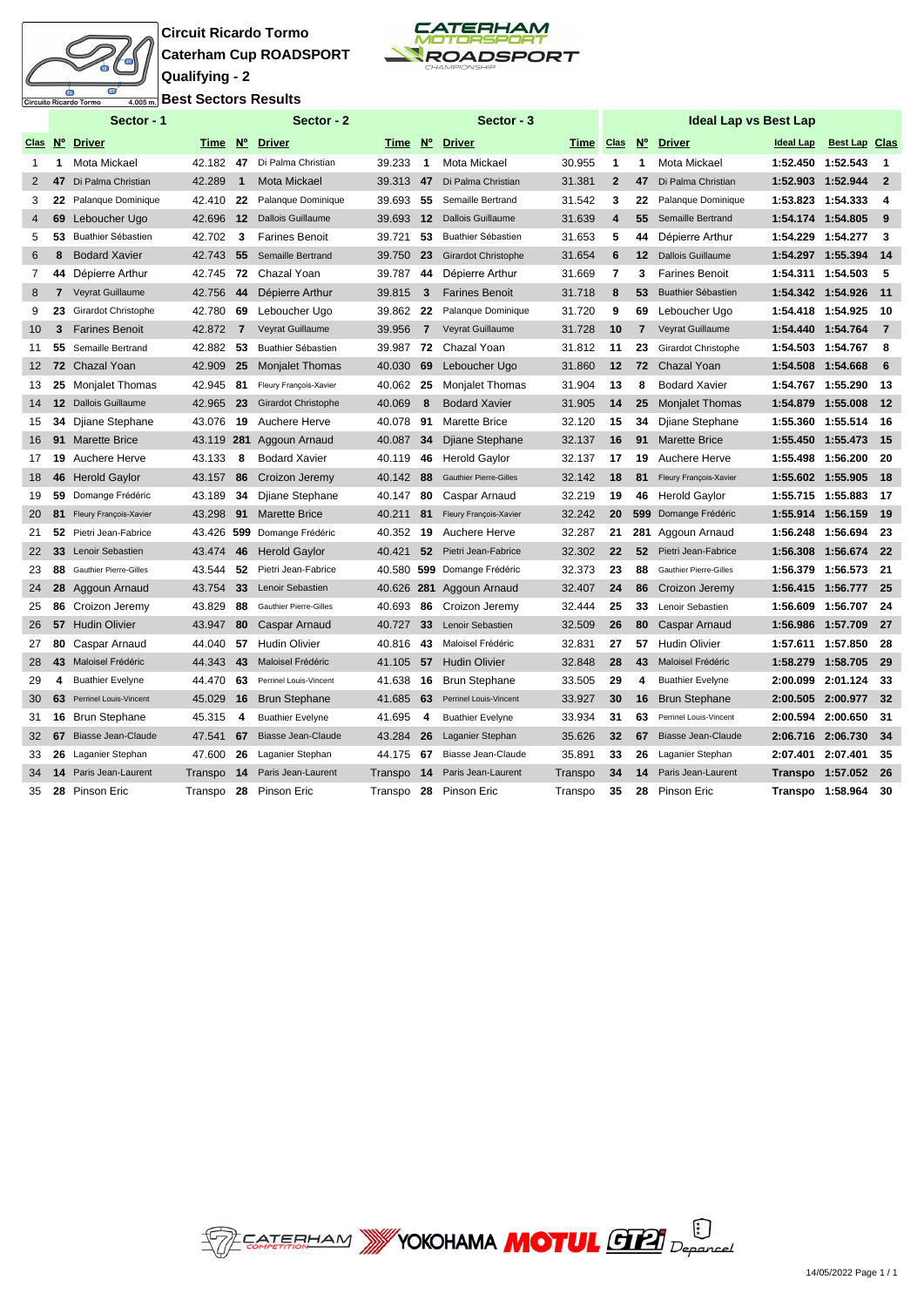

**Circuit Ricardo Tormo Caterham Cup ROADSPORT Qualifying - 2 Best Sectors Results**



|                 |                   | Sector - 1                    |         |                | Sector - 2                    |         |                | Sector - 3                    |         |                |                | <b>Ideal Lap vs Best Lap</b>  |                   |                      |                |
|-----------------|-------------------|-------------------------------|---------|----------------|-------------------------------|---------|----------------|-------------------------------|---------|----------------|----------------|-------------------------------|-------------------|----------------------|----------------|
|                 |                   | Clas Nº Driver                |         |                | Time Nº Driver                | Time    |                | Nº Driver                     | Time    | <b>Clas</b>    | $N^{\circ}$    | <b>Driver</b>                 | <b>Ideal Lap</b>  | <b>Best Lap Clas</b> |                |
| 1               | 1                 | Mota Mickael                  | 42.182  | 47             | Di Palma Christian            | 39.233  | $\mathbf 1$    | Mota Mickael                  | 30.955  | 1              | 1              | Mota Mickael                  | 1:52.450 1:52.543 |                      | -1             |
| $\overline{2}$  | 47                | Di Palma Christian            | 42.289  | $\mathbf{1}$   | <b>Mota Mickael</b>           | 39.313  | 47             | Di Palma Christian            | 31.381  | $\overline{2}$ | 47             | Di Palma Christian            | 1:52.903 1:52.944 |                      | $\overline{2}$ |
| 3               | 22                | Palanque Dominique            | 42.410  | 22             | Palanque Dominique            | 39.693  | 55             | Semaille Bertrand             | 31.542  | 3              | 22             | Palanque Dominique            | 1:53.823 1:54.333 |                      | 4              |
| $\overline{4}$  | 69                | Leboucher Ugo                 | 42.696  | $12 \,$        | <b>Dallois Guillaume</b>      | 39.693  | 12             | <b>Dallois Guillaume</b>      | 31.639  | 4              | 55             | Semaille Bertrand             | 1:54.174 1:54.805 |                      | -9             |
| 5               | 53                | Buathier Sébastien            | 42.702  | 3              | <b>Farines Benoit</b>         | 39.721  | 53             | Buathier Sébastien            | 31.653  | 5              | 44             | Dépierre Arthur               | 1:54.229 1:54.277 |                      | 3              |
| 6               | 8                 | <b>Bodard Xavier</b>          | 42.743  | 55             | Semaille Bertrand             | 39.750  | 23             | <b>Girardot Christophe</b>    | 31.654  | 6              | 12             | <b>Dallois Guillaume</b>      | 1:54.297 1:55.394 |                      | 14             |
| $\overline{7}$  | 44                | Dépierre Arthur               | 42.745  | 72             | Chazal Yoan                   | 39.787  | 44             | Dépierre Arthur               | 31.669  | 7              | 3              | <b>Farines Benoit</b>         | 1:54.311 1:54.503 |                      | 5              |
| 8               | $\overline{7}$    | Veyrat Guillaume              | 42.756  | 44             | Dépierre Arthur               | 39.815  | 3              | <b>Farines Benoit</b>         | 31.718  | 8              | 53             | <b>Buathier Sébastien</b>     | 1:54.342 1:54.926 |                      | 11             |
| 9               | 23                | Girardot Christophe           | 42.780  | 69             | Leboucher Ugo                 | 39.862  | 22             | Palanque Dominique            | 31.720  | 9              | 69             | Leboucher Ugo                 | 1:54.418 1:54.925 |                      | 10             |
| 10 <sup>°</sup> | 3                 | <b>Farines Benoit</b>         | 42.872  | $\overline{7}$ | Veyrat Guillaume              | 39.956  | $\overline{7}$ | Veyrat Guillaume              | 31.728  | 10             | $\overline{7}$ | Veyrat Guillaume              | 1:54.440 1:54.764 |                      | $\overline{7}$ |
| 11              | 55                | Semaille Bertrand             | 42.882  | 53             | Buathier Sébastien            | 39.987  | 72             | Chazal Yoan                   | 31.812  | 11             | 23             | Girardot Christophe           | 1:54.503 1:54.767 |                      | 8              |
| 12 <sup>2</sup> | 72                | <b>Chazal Yoan</b>            | 42.909  | 25             | <b>Monjalet Thomas</b>        | 40.030  | 69             | Leboucher Ugo                 | 31.860  | 12             | 72             | <b>Chazal Yoan</b>            | 1:54.508 1:54.668 |                      | 6              |
| 13              | 25                | Monjalet Thomas               | 42.945  | 81             | Fleury François-Xavier        | 40.062  | 25             | Monjalet Thomas               | 31.904  | 13             | 8              | <b>Bodard Xavier</b>          | 1:54.767 1:55.290 |                      | 13             |
| 14              | $12 \overline{ }$ | Dallois Guillaume             | 42.965  | 23             | <b>Girardot Christophe</b>    | 40.069  | 8              | <b>Bodard Xavier</b>          | 31.905  | 14             | 25             | <b>Monjalet Thomas</b>        | 1:54.879 1:55.008 |                      | 12             |
| 15              | 34                | Djiane Stephane               | 43.076  | 19             | Auchere Herve                 | 40.078  | 91             | Marette Brice                 | 32.120  | 15             | 34             | Djiane Stephane               | 1:55.360 1:55.514 |                      | 16             |
| 16              | 91                | <b>Marette Brice</b>          |         |                | 43.119 281 Aggoun Arnaud      | 40.087  | 34             | Djiane Stephane               | 32.137  | 16             | 91             | <b>Marette Brice</b>          | 1:55.450 1:55.473 |                      | -15            |
| 17              | 19                | Auchere Herve                 | 43.133  | 8              | <b>Bodard Xavier</b>          | 40.119  | 46             | <b>Herold Gaylor</b>          | 32.137  | 17             | 19             | Auchere Herve                 | 1:55.498 1:56.200 |                      | -20            |
| 18              | 46                | <b>Herold Gaylor</b>          | 43.157  | 86             | Croizon Jeremy                | 40.142  | 88             | <b>Gauthier Pierre-Gilles</b> | 32.142  | 18             | 81             | Fleury François-Xavier        | 1:55.602 1:55.905 |                      | - 18           |
| 19              | 59                | Domange Frédéric              | 43.189  | 34             | Djiane Stephane               | 40.147  | 80             | Caspar Arnaud                 | 32.219  | 19             | 46             | <b>Herold Gaylor</b>          | 1:55.715 1:55.883 |                      | 17             |
| 20              | 81                | Fleury François-Xavier        | 43.298  | 91             | <b>Marette Brice</b>          | 40.211  | 81             | Fleury François-Xavier        | 32.242  | 20             | 599            | Domange Frédéric              | 1:55.914          | 1:56.159             | 19             |
| 21              | 52                | Pietri Jean-Fabrice           | 43.426  |                | 599 Domange Frédéric          | 40.352  | 19             | Auchere Herve                 | 32.287  | 21             | 281            | Aggoun Arnaud                 |                   | 1:56.248 1:56.694    | -23            |
| 22              | 33                | Lenoir Sebastien              | 43.474  | 46             | <b>Herold Gaylor</b>          | 40.421  | 52             | Pietri Jean-Fabrice           | 32.302  | 22             | 52             | Pietri Jean-Fabrice           |                   | 1:56.308 1:56.674    | 22             |
| 23              | 88                | <b>Gauthier Pierre-Gilles</b> | 43.544  | 52             | Pietri Jean-Fabrice           | 40.580  |                | 599 Domange Frédéric          | 32.373  | 23             | 88             | <b>Gauthier Pierre-Gilles</b> |                   | 1:56.379 1:56.573    | -21            |
| 24              | 28                | Aggoun Arnaud                 | 43.754  | 33             | Lenoir Sebastien              | 40.626  | 281            | Aggoun Arnaud                 | 32.407  | 24             | 86             | Croizon Jeremy                |                   | 1:56.415 1:56.777    | - 25           |
| 25              | 86                | Croizon Jeremy                | 43.829  | 88             | <b>Gauthier Pierre-Gilles</b> | 40.693  | 86             | Croizon Jeremy                | 32.444  | 25             | 33             | Lenoir Sebastien              |                   | 1:56.609 1:56.707    | -24            |
| 26              | 57                | <b>Hudin Olivier</b>          | 43.947  | 80             | <b>Caspar Arnaud</b>          | 40.727  | 33             | Lenoir Sebastien              | 32.509  | 26             | 80             | <b>Caspar Arnaud</b>          | 1:56.986 1:57.709 |                      | - 27           |
| 27              | 80                | Caspar Arnaud                 | 44.040  | 57             | <b>Hudin Olivier</b>          | 40.816  | 43             | Maloisel Frédéric             | 32.831  | 27             | 57             | <b>Hudin Olivier</b>          | 1:57.611          | 1:57.850             | -28            |
| 28              | 43                | Maloisel Frédéric             | 44.343  | 43             | Maloisel Frédéric             | 41.105  | 57             | <b>Hudin Olivier</b>          | 32.848  | 28             | 43             | Maloisel Frédéric             | 1:58.279          | 1:58.705             | - 29           |
| 29              | 4                 | <b>Buathier Evelyne</b>       | 44.470  | 63             | Perrinel Louis-Vincent        | 41.638  | 16             | <b>Brun Stephane</b>          | 33.505  | 29             | 4              | <b>Buathier Evelyne</b>       | 2:00.099          | 2:01.124             | 33             |
| 30              | 63                | Perrinel Louis-Vincent        | 45.029  | 16             | <b>Brun Stephane</b>          | 41.685  | 63             | Perrinel Louis-Vincent        | 33.927  | 30             | 16             | <b>Brun Stephane</b>          | 2:00.505          | 2:00.977             | 32             |
| 31              | 16                | <b>Brun Stephane</b>          | 45.315  | 4              | <b>Buathier Evelyne</b>       | 41.695  | 4              | <b>Buathier Evelyne</b>       | 33.934  | 31             | 63             | Perrinel Louis-Vincent        | 2:00.594          | 2:00.650             | -31            |
| 32              | 67                | Biasse Jean-Claude            | 47.541  | 67             | Biasse Jean-Claude            | 43.284  | 26             | Laganier Stephan              | 35.626  | 32             | 67             | Biasse Jean-Claude            | 2:06.716          | 2:06.730             | 34             |
| 33              | 26                | Laganier Stephan              | 47.600  | 26             | Laganier Stephan              | 44.175  | 67             | Biasse Jean-Claude            | 35.891  | 33             | 26             | Laganier Stephan              | 2:07.401          | 2:07.401             | 35             |
| 34              | 14                | Paris Jean-Laurent            | Transpo | 14             | Paris Jean-Laurent            | Transpo | 14             | Paris Jean-Laurent            | Transpo | 34             | 14             | Paris Jean-Laurent            |                   | Transpo 1:57.052     | - 26           |
| 35              |                   | 28 Pinson Eric                | Transpo | 28             | Pinson Eric                   | Transpo | 28             | Pinson Eric                   | Transpo | 35             | 28             | Pinson Eric                   | Transpo 1:58.964  |                      | 30             |

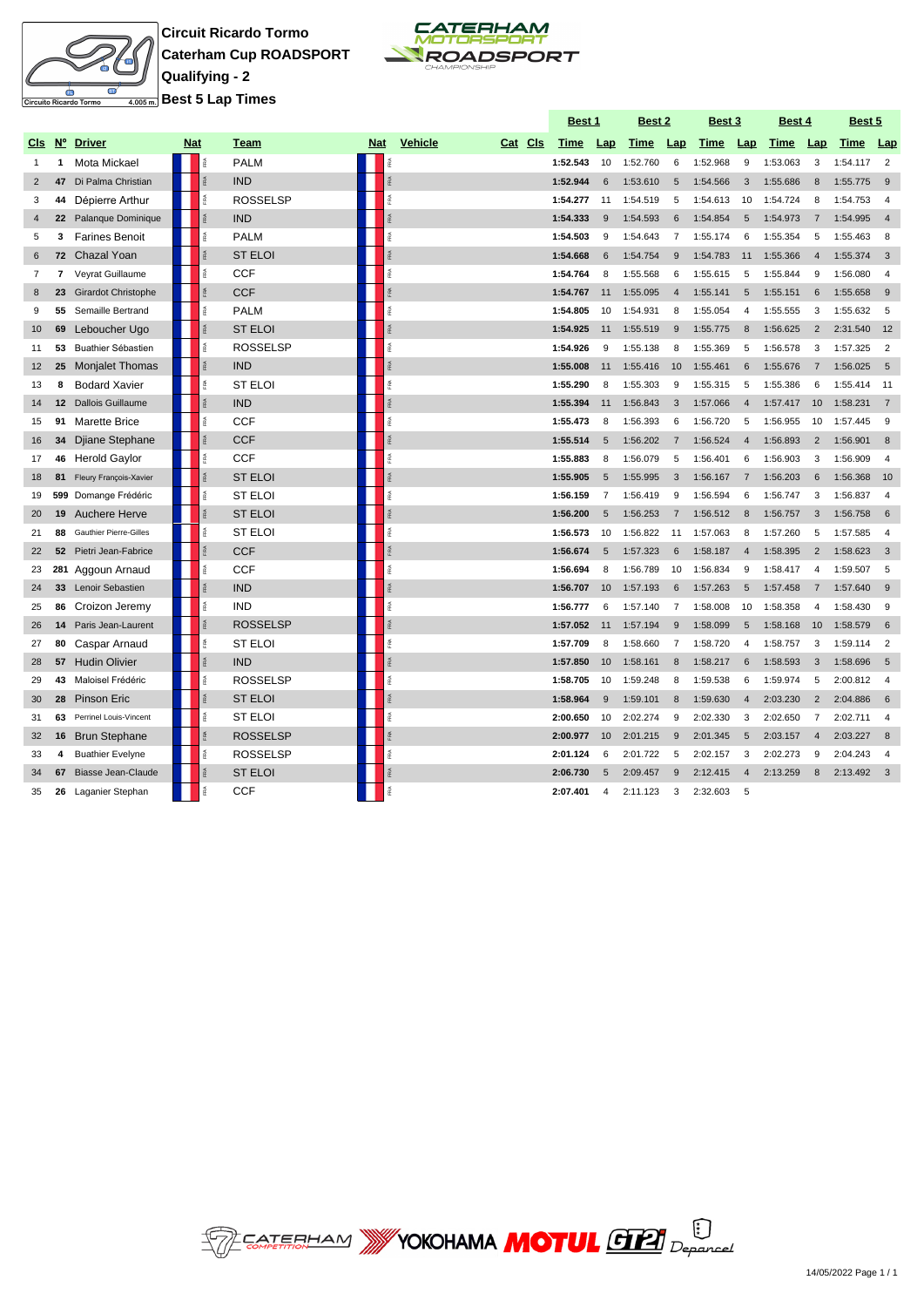

**Circuit Ricardo Tormo Caterham Cup ROADSPORT Qualifying - 2 Best 5 Lap Times**



|                 |                 |                               |            |                 |                 |                 |                           | Best 1   |                | Best 2   |                | Best 3   |                | Best 4   |                | Best 5     |                |
|-----------------|-----------------|-------------------------------|------------|-----------------|-----------------|-----------------|---------------------------|----------|----------------|----------|----------------|----------|----------------|----------|----------------|------------|----------------|
| CI <sub>s</sub> | $N^{\circ}$     | <b>Driver</b>                 | <b>Nat</b> |                 | Team            | <b>Nat</b>      | <b>Vehicle</b><br>Cat Cls | Time     | Lap            | Time     | Lap            | Time     | Lap            | Time     | Lap            | Time       | <b>Lap</b>     |
| 1               | $\mathbf{1}$    | Mota Mickael                  |            | F <sub>RA</sub> | <b>PALM</b>     | ě               |                           | 1:52.543 | 10             | 1:52.760 | 6              | 1:52.968 | 9              | 1:53.063 | 3              | 1:54.117   | $\overline{2}$ |
| $\overline{2}$  | 47              | Di Palma Christian            |            | res.            | <b>IND</b>      | ŖÃ.             |                           | 1:52.944 | 6              | 1:53.610 | 5              | 1:54.566 | 3              | 1:55.686 | 8              | 1:55.775   | 9              |
| 3               | 44              | Dépierre Arthur               |            | īRA.            | <b>ROSSELSP</b> | FRA             |                           | 1:54.277 | 11             | 1:54.519 | 5              | 1:54.613 | 10             | 1:54.724 | 8              | 1:54.753   | $\overline{4}$ |
| $\overline{4}$  | 22              | Palanque Dominique            |            | FRA             | <b>IND</b>      | FRA             |                           | 1:54.333 | 9              | 1:54.593 | 6              | 1:54.854 | 5              | 1:54.973 | $\overline{7}$ | 1:54.995   | $\overline{4}$ |
| 5               | 3               | <b>Farines Benoit</b>         |            | īRA.            | <b>PALM</b>     | RA.             |                           | 1:54.503 | 9              | 1:54.643 | 7              | 1:55.174 | 6              | 1:55.354 | 5              | 1:55.463   | 8              |
| 6               |                 | 72 Chazal Yoan                |            | res.            | <b>ST ELOI</b>  | ŖÃ.             |                           | 1:54.668 | 6              | 1:54.754 | 9              | 1:54.783 | 11             | 1:55.366 | $\overline{4}$ | 1:55.374   | 3              |
| $\overline{7}$  | $\overline{7}$  | Veyrat Guillaume              |            | īRA.            | <b>CCF</b>      | RA.             |                           | 1:54.764 | 8              | 1:55.568 | 6              | 1:55.615 | 5              | 1:55.844 | 9              | 1:56.080   | $\overline{4}$ |
| 8               | 23              | <b>Girardot Christophe</b>    |            | FRA             | <b>CCF</b>      | FRA             |                           | 1:54.767 | 11             | 1:55.095 | $\overline{4}$ | 1:55.141 | 5              | 1:55.151 | 6              | 1:55.658   | 9              |
| 9               | 55              | Semaille Bertrand             |            | 系               | <b>PALM</b>     | 歪               |                           | 1:54.805 | 10             | 1:54.931 | 8              | 1:55.054 | 4              | 1:55.555 | 3              | 1:55.632   | 5              |
| 10              | 69              | Leboucher Ugo                 |            | FØ.             | <b>ST ELOI</b>  | 乏               |                           | 1:54.925 | 11             | 1:55.519 | 9              | 1:55.775 | 8              | 1:56.625 | $\overline{2}$ | 2:31.540   | 12             |
| 11              | 53              | Buathier Sébastien            |            | FRA             | <b>ROSSELSP</b> | RA <sub>1</sub> |                           | 1:54.926 | 9              | 1:55.138 | 8              | 1:55.369 | 5              | 1:56.578 | 3              | 1:57.325   | $\overline{2}$ |
| 12              | 25              | <b>Monjalet Thomas</b>        |            | FRA             | <b>IND</b>      | RA              |                           | 1:55.008 | 11             | 1:55.416 | 10             | 1:55.461 | 6              | 1:55.676 | $\overline{7}$ | 1:56.025   | 5              |
| 13              | 8               | <b>Bodard Xavier</b>          |            | īRA.            | <b>ST ELOI</b>  | RA.             |                           | 1:55.290 | 8              | 1:55.303 | 9              | 1:55.315 | 5              | 1:55.386 | 6              | 1:55.414   | - 11           |
| 14              | 12 <sup>2</sup> | <b>Dallois Guillaume</b>      |            | i.              | <b>IND</b>      | 乏               |                           | 1:55.394 | 11             | 1:56.843 | 3              | 1:57.066 | $\overline{4}$ | 1:57.417 | 10             | 1:58.231   | $\overline{7}$ |
| 15              | 91              | <b>Marette Brice</b>          |            | īRA.            | <b>CCF</b>      | RA.             |                           | 1:55.473 | 8              | 1:56.393 | 6              | 1:56.720 | 5              | 1:56.955 | 10             | 1:57.445   | 9              |
| 16              | 34              | Djiane Stephane               |            | FRA             | <b>CCF</b>      | FRA             |                           | 1:55.514 | 5              | 1:56.202 | 7              | 1:56.524 | $\overline{4}$ | 1:56.893 | $\overline{2}$ | 1:56.901   | 8              |
| 17              | 46              | <b>Herold Gaylor</b>          |            | īRA.            | <b>CCF</b>      | RA <sub>1</sub> |                           | 1:55.883 | 8              | 1:56.079 | 5              | 1:56.401 | 6              | 1:56.903 | 3              | 1:56.909   | $\overline{4}$ |
| 18              | 81              | Fleury François-Xavier        |            | Ř               | <b>ST ELOI</b>  |                 |                           | 1:55.905 | 5              | 1:55.995 | 3              | 1:56.167 |                | 1:56.203 | 6              | 1:56.368   | 10             |
| 19              |                 | 599 Domange Frédéric          |            | iPA.            | <b>ST ELOI</b>  | ß.              |                           | 1:56.159 | 7              | 1:56.419 | 9              | 1:56.594 | 6              | 1:56.747 | 3              | 1:56.837   | $\overline{4}$ |
| 20              | 19              | Auchere Herve                 |            | <b>RA</b>       | <b>ST ELOI</b>  |                 |                           | 1:56.200 | 5              | 1:56.253 | 7              | 1:56.512 | 8              | 1:56.757 | 3              | 1:56.758   | 6              |
| 21              | 88              | <b>Gauthier Pierre-Gilles</b> |            | īRA             | <b>ST ELOI</b>  | RA.             |                           | 1:56.573 | 10             | 1:56.822 | 11             | 1:57.063 | 8              | 1:57.260 | 5              | 1:57.585   | $\overline{4}$ |
| 22              | 52              | Pietri Jean-Fabrice           |            | Ř               | <b>CCF</b>      |                 |                           | 1:56.674 | 5              | 1:57.323 | 6              | 1:58.187 | $\overline{4}$ | 1:58.395 | $\overline{2}$ | 1:58.623   | -3             |
| 23              |                 | 281 Aggoun Arnaud             |            | Ř               | <b>CCF</b>      | RA.             |                           | 1:56.694 | 8              | 1:56.789 | 10             | 1:56.834 | 9              | 1:58.417 | $\overline{4}$ | 1:59.507   | 5              |
| 24              | 33 <sup>3</sup> | Lenoir Sebastien              |            | <b>FRA</b>      | <b>IND</b>      |                 |                           | 1:56.707 | 10             | 1:57.193 | 6              | 1:57.263 | 5              | 1:57.458 | $\overline{7}$ | 1:57.640   | -9             |
| 25              | 86              | Croizon Jeremy                |            | îRA.            | <b>IND</b>      |                 |                           | 1:56.777 | 6              | 1:57.140 | $\overline{7}$ | 1:58.008 | 10             | 1:58.358 | $\overline{4}$ | 1:58.430   | 9              |
| 26              | 14              | Paris Jean-Laurent            |            | Ř               | <b>ROSSELSP</b> |                 |                           | 1:57.052 | 11             | 1:57.194 | 9              | 1:58.099 | 5              | 1:58.168 | 10             | 1:58.579   | 6              |
| 27              | 80              | Caspar Arnaud                 |            | Ř               | <b>ST ELOI</b>  | FRA             |                           | 1:57.709 | 8              | 1:58.660 | $\overline{7}$ | 1:58.720 | $\overline{4}$ | 1:58.757 | 3              | 1:59.114   | $\overline{2}$ |
| 28              |                 | 57 Hudin Olivier              |            | <b>RA</b>       | <b>IND</b>      | FRA             |                           | 1:57.850 | 10             | 1:58.161 | 8              | 1:58.217 | 6              | 1:58.593 | 3              | 1:58.696   | - 5            |
| 29              | 43              | Maloisel Frédéric             |            | Ř               | <b>ROSSELSP</b> | FRA             |                           | 1:58.705 | 10             | 1:59.248 | 8              | 1:59.538 | 6              | 1:59.974 | 5              | 2:00.812   | $\overline{4}$ |
| 30              | 28              | <b>Pinson Eric</b>            |            | <b>RA</b>       | <b>ST ELOI</b>  | FRA             |                           | 1:58.964 | 9              | 1:59.101 | 8              | 1:59.630 | $\overline{4}$ | 2:03.230 | $\overline{2}$ | 2:04.886   | - 6            |
| 31              | 63              | Perrinel Louis-Vincent        |            | é               | <b>ST ELOI</b>  | iPA             |                           | 2:00.650 | 10             | 2:02.274 | 9              | 2:02.330 | 3              | 2:02.650 | $\overline{7}$ | 2:02.711   | $\overline{4}$ |
| 32              | 16              | <b>Brun Stephane</b>          |            | FRA             | <b>ROSSELSP</b> | FRA             |                           | 2:00.977 | 10             | 2:01.215 | 9              | 2:01.345 | 5              | 2:03.157 | $\overline{4}$ | 2:03.227   | - 8            |
| 33              | 4               | <b>Buathier Evelyne</b>       |            | î.              | <b>ROSSELSP</b> | RA.             |                           | 2:01.124 | 6              | 2:01.722 | 5              | 2:02.157 | 3              | 2:02.273 | 9              | 2:04.243   | $\overline{4}$ |
| 34              | 67              | Biasse Jean-Claude            |            | <b>RA</b>       | <b>ST ELOI</b>  | FRA             |                           | 2:06.730 | 5              | 2:09.457 | 9              | 2:12.415 | $\overline{4}$ | 2:13.259 | 8              | 2:13.492 3 |                |
| 35              | 26              | Laganier Stephan              |            | 系               | <b>CCF</b>      |                 |                           | 2:07.401 | $\overline{4}$ | 2:11.123 | 3              | 2:32.603 | 5              |          |                |            |                |

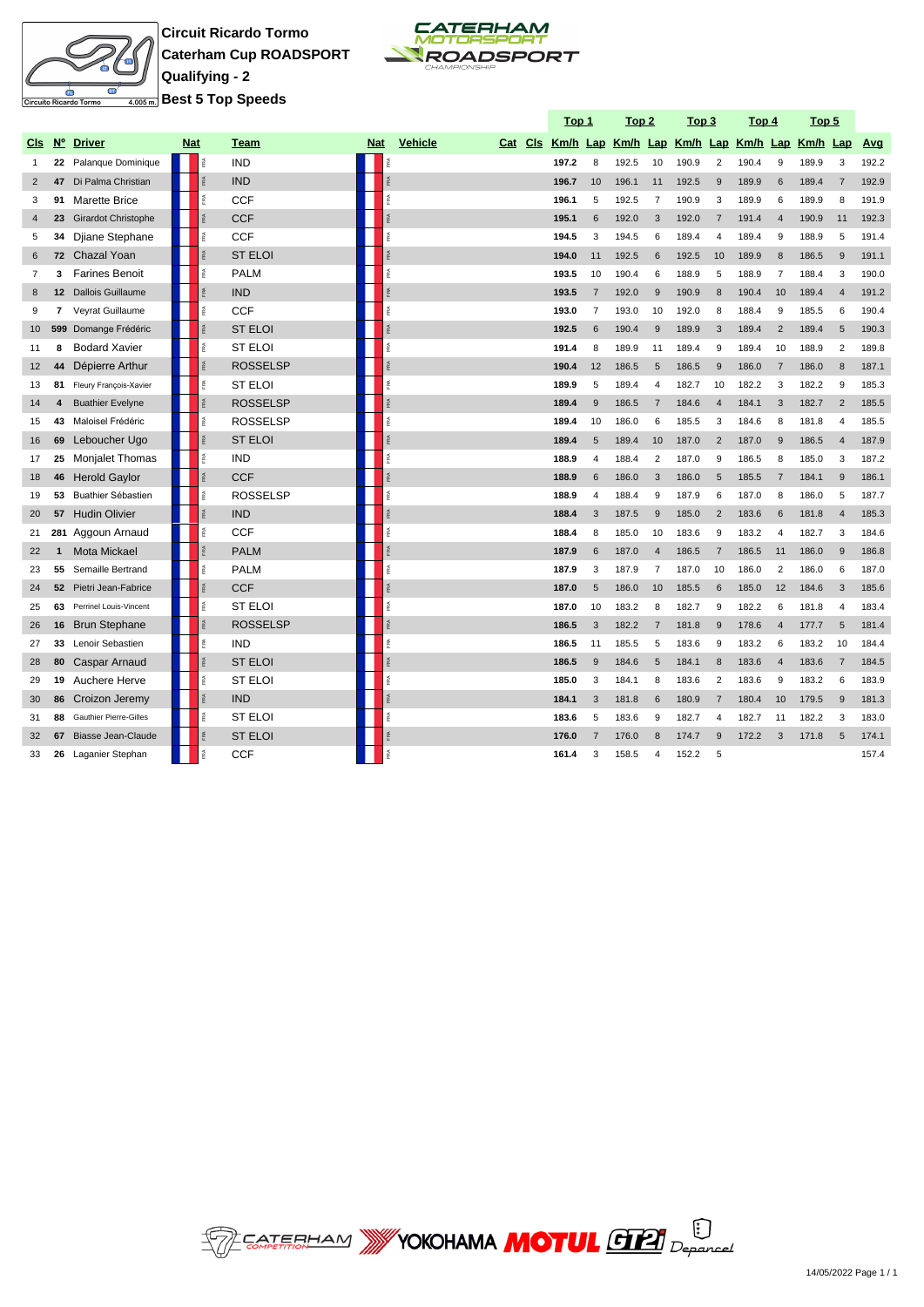

**Circuit Ricardo Tormo Caterham Cup ROADSPORT Qualifying - 2 Best 5 Top Speeds**



**Top 1 Top 2 Top 3 Top 4 Top 5**

|                |                |                               |            |           |                 |            |     |                           | <u> тор т</u> |                | <u>10p z</u> |                 | <u>гор з</u>                                 |                | <u>1004</u> |                | <u>гор э</u> |                |       |
|----------------|----------------|-------------------------------|------------|-----------|-----------------|------------|-----|---------------------------|---------------|----------------|--------------|-----------------|----------------------------------------------|----------------|-------------|----------------|--------------|----------------|-------|
| CIs            | $N^{\circ}$    | <b>Driver</b>                 | <b>Nat</b> |           | Team            | <b>Nat</b> |     | <b>Vehicle</b><br>Cat Cls |               |                |              |                 | Km/h Lap Km/h Lap Km/h Lap Km/h Lap Km/h Lap |                |             |                |              |                | Avg   |
| $\overline{1}$ |                | 22 Palanque Dominique         |            | FRA       | <b>IND</b>      |            |     |                           | 197.2         | 8              | 192.5        | 10              | 190.9                                        | $\overline{2}$ | 190.4       | 9              | 189.9        | 3              | 192.2 |
| 2              | 47             | Di Palma Christian            |            | Å.        | <b>IND</b>      |            |     |                           | 196.7         | 10             | 196.1        | 11              | 192.5                                        | 9              | 189.9       | 6              | 189.4        | $\overline{7}$ | 192.9 |
| 3              | 91             | <b>Marette Brice</b>          |            | ®.        | CCF             |            |     |                           | 196.1         | 5              | 192.5        | $\overline{7}$  | 190.9                                        | 3              | 189.9       | 6              | 189.9        | 8              | 191.9 |
| $\overline{4}$ | 23             | <b>Girardot Christophe</b>    |            | FRA       | <b>CCF</b>      |            |     |                           | 195.1         | 6              | 192.0        | 3               | 192.0                                        | $\overline{7}$ | 191.4       | $\overline{4}$ | 190.9        | 11             | 192.3 |
| 5              | 34             | Djiane Stephane               |            | FRA       | <b>CCF</b>      |            | 歪   |                           | 194.5         | 3              | 194.5        | 6               | 189.4                                        | $\overline{4}$ | 189.4       | 9              | 188.9        | 5              | 191.4 |
| 6              | 72             | Chazal Yoan                   |            | Ř.        | <b>ST ELOI</b>  |            |     |                           | 194.0         | 11             | 192.5        | 6               | 192.5                                        | 10             | 189.9       | 8              | 186.5        | 9              | 191.1 |
| $\overline{7}$ | 3              | <b>Farines Benoit</b>         |            | FRA.      | <b>PALM</b>     |            | FRA |                           | 193.5         | 10             | 190.4        | 6               | 188.9                                        | 5              | 188.9       | $\overline{7}$ | 188.4        | 3              | 190.0 |
| 8              | 12             | <b>Dallois Guillaume</b>      |            | FRA       | <b>IND</b>      |            |     |                           | 193.5         | $\overline{7}$ | 192.0        | 9               | 190.9                                        | 8              | 190.4       | 10             | 189.4        | $\overline{4}$ | 191.2 |
| 9              | $\overline{7}$ | Veyrat Guillaume              |            | Æ         | <b>CCF</b>      |            |     |                           | 193.0         | $\overline{7}$ | 193.0        | 10              | 192.0                                        | 8              | 188.4       | 9              | 185.5        | 6              | 190.4 |
| 10             |                | 599 Domange Frédéric          |            | FRA       | <b>ST ELOI</b>  |            |     |                           | 192.5         | 6              | 190.4        | 9               | 189.9                                        | 3              | 189.4       | $\overline{2}$ | 189.4        | 5              | 190.3 |
| 11             | 8              | <b>Bodard Xavier</b>          |            | FRA       | <b>ST ELOI</b>  |            |     |                           | 191.4         | 8              | 189.9        | 11              | 189.4                                        | 9              | 189.4       | 10             | 188.9        | $\overline{2}$ | 189.8 |
| 12             | 44             | Dépierre Arthur               |            | FRA       | <b>ROSSELSP</b> |            |     |                           | 190.4         | 12             | 186.5        | 5               | 186.5                                        | 9              | 186.0       | $\overline{7}$ | 186.0        | 8              | 187.1 |
| 13             | 81             | Fleury François-Xavier        |            | FRA       | <b>ST ELOI</b>  |            |     |                           | 189.9         | 5              | 189.4        | $\overline{4}$  | 182.7                                        | 10             | 182.2       | 3              | 182.2        | 9              | 185.3 |
| 14             | 4              | <b>Buathier Evelyne</b>       |            | FRA       | <b>ROSSELSP</b> |            |     |                           | 189.4         | 9              | 186.5        | $\overline{7}$  | 184.6                                        | $\overline{4}$ | 184.1       | 3              | 182.7        | $\overline{2}$ | 185.5 |
| 15             | 43             | Maloisel Frédéric             |            | FRA       | <b>ROSSELSP</b> |            | RA. |                           | 189.4         | 10             | 186.0        | 6               | 185.5                                        | 3              | 184.6       | 8              | 181.8        | $\overline{4}$ | 185.5 |
| 16             | 69             | Leboucher Ugo                 |            | FRA       | <b>ST ELOI</b>  |            |     |                           | 189.4         | 5              | 189.4        | 10              | 187.0                                        | $\overline{2}$ | 187.0       | 9              | 186.5        | $\overline{4}$ | 187.9 |
| 17             | 25             | Monjalet Thomas               |            | FRA       | <b>IND</b>      |            |     |                           | 188.9         | $\overline{4}$ | 188.4        | $\overline{2}$  | 187.0                                        | 9              | 186.5       | 8              | 185.0        | 3              | 187.2 |
| 18             | 46             | <b>Herold Gaylor</b>          |            | FRA       | <b>CCF</b>      |            |     |                           | 188.9         | 6              | 186.0        | 3               | 186.0                                        | 5              | 185.5       | $\overline{7}$ | 184.1        | 9              | 186.1 |
| 19             | 53             | Buathier Sébastien            |            | FBA.      | <b>ROSSELSP</b> |            | 盏   |                           | 188.9         | $\overline{4}$ | 188.4        | 9               | 187.9                                        | 6              | 187.0       | 8              | 186.0        | 5              | 187.7 |
| 20             | 57             | <b>Hudin Olivier</b>          |            | FRA       | <b>IND</b>      |            |     |                           | 188.4         | 3              | 187.5        | 9               | 185.0                                        | $\overline{2}$ | 183.6       | 6              | 181.8        | $\overline{4}$ | 185.3 |
| 21             | 281            | Aggoun Arnaud                 |            | FRA.      | <b>CCF</b>      |            | RA. |                           | 188.4         | 8              | 185.0        | 10              | 183.6                                        | 9              | 183.2       | $\overline{4}$ | 182.7        | 3              | 184.6 |
| 22             | 1              | Mota Mickael                  |            | ₽Ã        | <b>PALM</b>     |            |     |                           | 187.9         | 6              | 187.0        | $\overline{4}$  | 186.5                                        | $\overline{7}$ | 186.5       | 11             | 186.0        | 9              | 186.8 |
| 23             | 55             | Semaille Bertrand             |            | FRA       | <b>PALM</b>     |            |     |                           | 187.9         | 3              | 187.9        | $\overline{7}$  | 187.0                                        | 10             | 186.0       | $\overline{2}$ | 186.0        | 6              | 187.0 |
| 24             | 52             | Pietri Jean-Fabrice           |            | FRA       | <b>CCF</b>      |            |     |                           | 187.0         | 5              | 186.0        | 10              | 185.5                                        | 6              | 185.0       | 12             | 184.6        | 3              | 185.6 |
| 25             | 63             | Perrinel Louis-Vincent        |            | FRA       | <b>ST ELOI</b>  |            |     |                           | 187.0         | 10             | 183.2        | 8               | 182.7                                        | 9              | 182.2       | 6              | 181.8        | $\overline{4}$ | 183.4 |
| 26             | 16             | <b>Brun Stephane</b>          |            | ₽Ã        | <b>ROSSELSP</b> |            |     |                           | 186.5         | 3              | 182.2        | $\overline{7}$  | 181.8                                        | 9              | 178.6       | $\overline{4}$ | 177.7        | 5              | 181.4 |
| 27             | 33             | Lenoir Sebastien              |            | FRA       | <b>IND</b>      |            | 痉   |                           | 186.5         | 11             | 185.5        | 5               | 183.6                                        | 9              | 183.2       | 6              | 183.2        | 10             | 184.4 |
| 28             | 80             | Caspar Arnaud                 |            | FRA       | <b>ST ELOI</b>  |            |     |                           | 186.5         | 9              | 184.6        | $5\overline{)}$ | 184.1                                        | 8              | 183.6       | $\overline{4}$ | 183.6        | $\overline{7}$ | 184.5 |
| 29             | 19             | Auchere Herve                 |            | FRA.      | ST ELOI         |            | RA. |                           | 185.0         | 3              | 184.1        | 8               | 183.6                                        | $\overline{2}$ | 183.6       | 9              | 183.2        | 6              | 183.9 |
| 30             | 86             | Croizon Jeremy                |            | FRA       | <b>IND</b>      |            |     |                           | 184.1         | 3              | 181.8        | 6               | 180.9                                        | $\overline{7}$ | 180.4       | 10             | 179.5        | 9              | 181.3 |
| 31             | 88             | <b>Gauthier Pierre-Gilles</b> |            | FØ.       | ST ELOI         |            |     |                           | 183.6         | 5              | 183.6        | 9               | 182.7                                        | $\overline{4}$ | 182.7       | 11             | 182.2        | 3              | 183.0 |
| 32             | 67             | <b>Biasse Jean-Claude</b>     |            | <b>RA</b> | <b>ST ELOI</b>  |            |     |                           | 176.0         | $\overline{7}$ | 176.0        | $\mathsf{R}$    | 174.7                                        | $\mathbf{Q}$   | 172.2       | 3              | 171.8        | 5              | 174.1 |
| 33             | 26             | Laganier Stephan              |            | îRA.      | <b>CCF</b>      |            |     |                           | 161.4         | 3              | 158.5        | $\overline{4}$  | 152.2                                        | 5              |             |                |              |                | 157.4 |

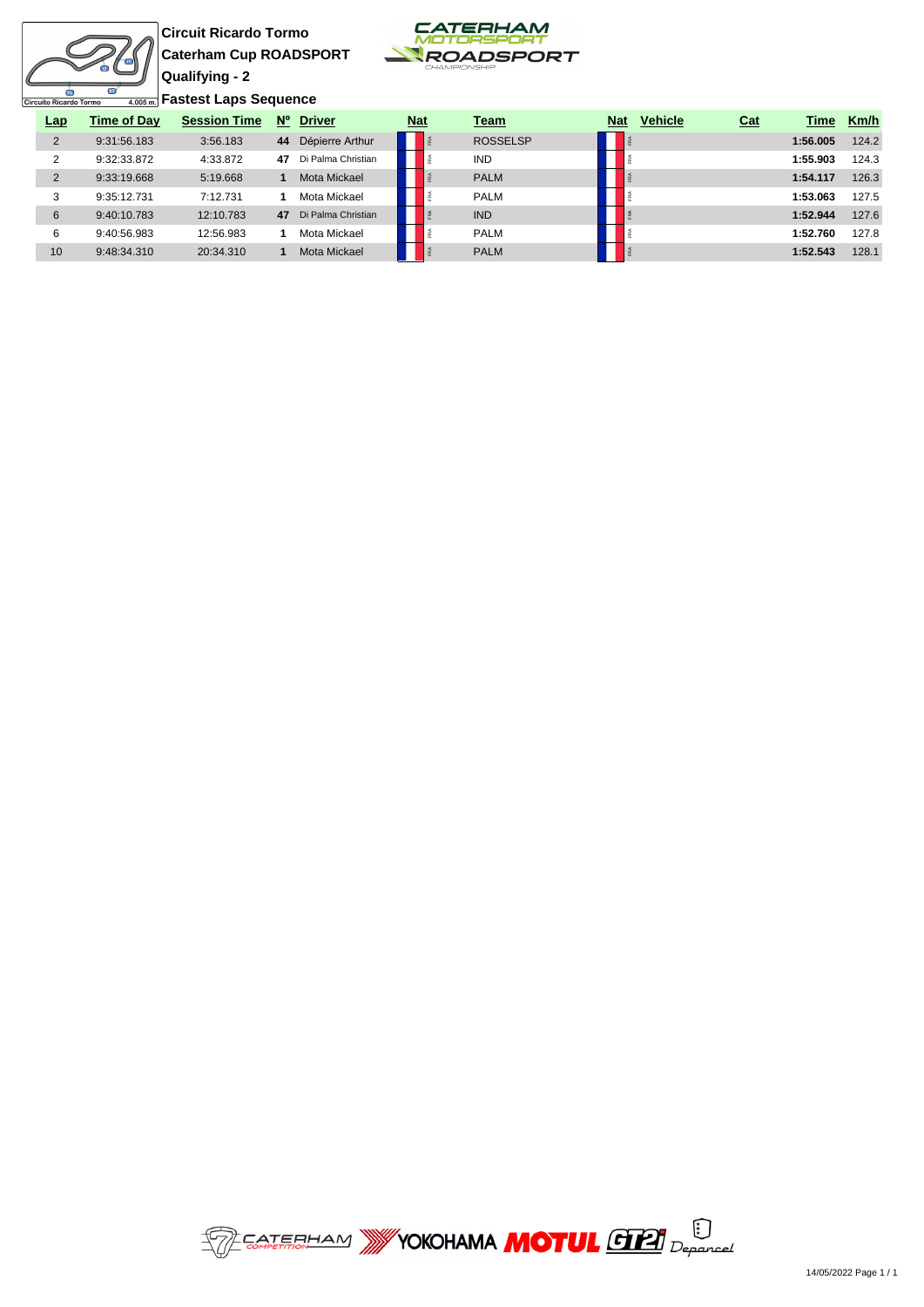

**Circuit Ricardo Tormo Caterham Cup ROADSPORT Qualifying - 2**



**Fastest Laps Sequence**

| Lap            | Time of Day | <b>Session Time</b> | $N^{\circ}$ | <b>Driver</b>      | <b>Nat</b> | Team            | <b>Nat</b> | <b>Vehicle</b> | Cat | Time     | Km/h  |
|----------------|-------------|---------------------|-------------|--------------------|------------|-----------------|------------|----------------|-----|----------|-------|
| $\overline{2}$ | 9:31:56.183 | 3:56.183            | 44          | Dépierre Arthur    |            | <b>ROSSELSP</b> |            |                |     | 1:56.005 | 124.2 |
| ົ              | 9:32:33.872 | 4:33.872            | 47          | Di Palma Christian |            | <b>IND</b>      |            |                |     | 1:55.903 | 124.3 |
| 2              | 9:33:19.668 | 5:19.668            |             | Mota Mickael       |            | <b>PALM</b>     |            |                |     | 1:54.117 | 126.3 |
| ີ              | 9:35:12.731 | 7:12.731            |             | Mota Mickael       |            | <b>PALM</b>     |            |                |     | 1:53.063 | 127.5 |
| 6              | 9:40:10.783 | 12:10.783           | 47          | Di Palma Christian |            | <b>IND</b>      |            |                |     | 1:52.944 | 127.6 |
| 6              | 9:40:56.983 | 12:56.983           |             | Mota Mickael       |            | <b>PALM</b>     |            |                |     | 1:52.760 | 127.8 |
| 10             | 9:48:34.310 | 20:34.310           |             | Mota Mickael       |            | <b>PALM</b>     |            |                |     | 1:52.543 | 128.1 |

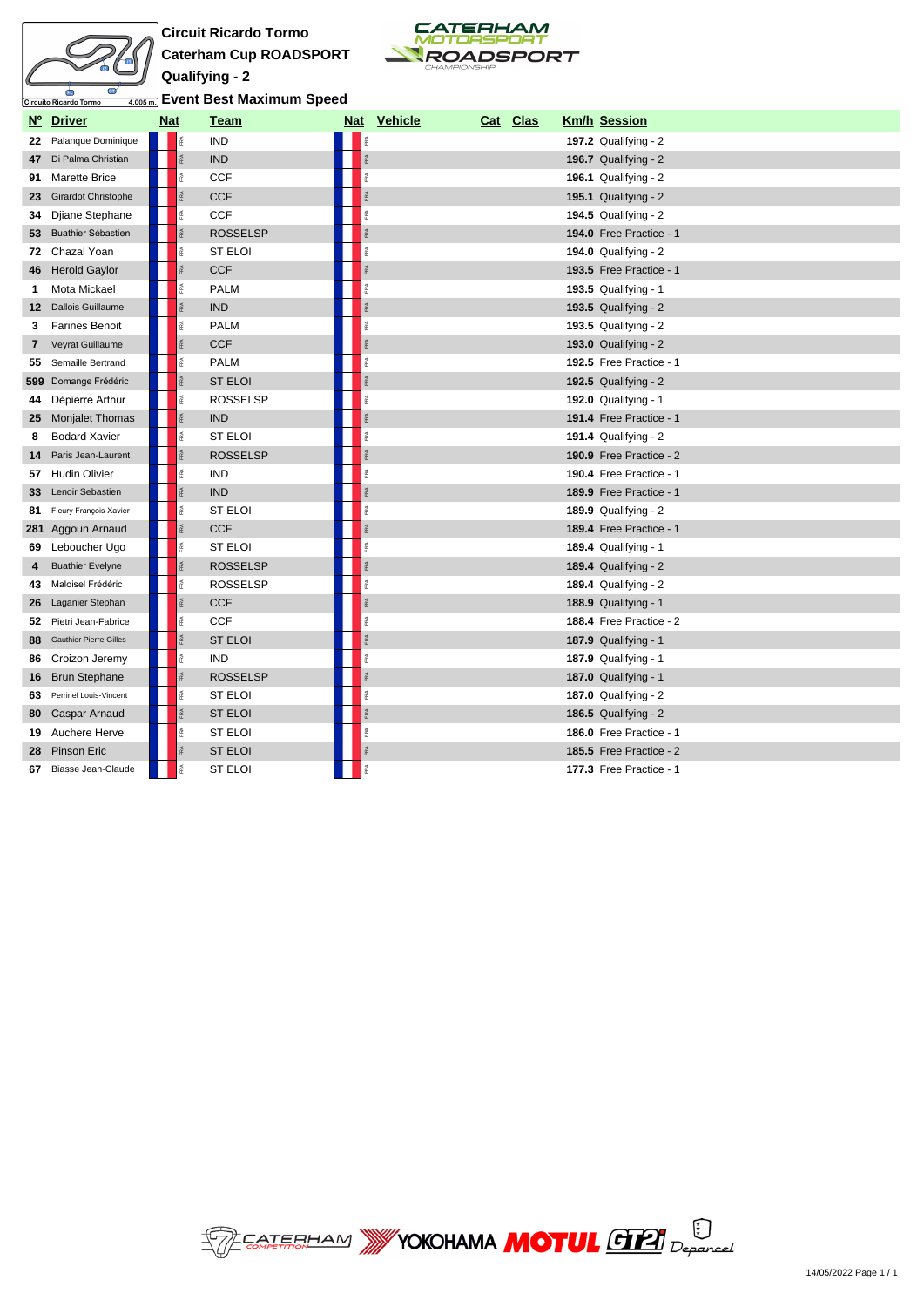

**Circuit Ricardo Tormo Caterham Cup ROADSPORT Qualifying - 2 Event Best Maximum Speed**



|              | Nº Driver                  | <b>Nat</b> | <b>Team</b>     |      | Nat Vehicle | Cat Clas | <b>Km/h Session</b>            |
|--------------|----------------------------|------------|-----------------|------|-------------|----------|--------------------------------|
| 22           | Palanque Dominique         | īRA.       | <b>IND</b>      |      |             |          | <b>197.2 Qualifying - 2</b>    |
| 47           | Di Palma Christian         |            | <b>IND</b>      |      |             |          | 196.7 Qualifying - 2           |
| 91           | Marette Brice              |            | <b>CCF</b>      | RA.  |             |          | 196.1 Qualifying - $2$         |
| 23           | <b>Girardot Christophe</b> |            | <b>CCF</b>      |      |             |          | 195.1 Qualifying - $2$         |
| 34           | Djiane Stephane            | îRA.       | <b>CCF</b>      | FRA  |             |          | 194.5 Qualifying - 2           |
|              | 53 Buathier Sébastien      |            | <b>ROSSELSP</b> | FRA  |             |          | 194.0 Free Practice - 1        |
|              | 72 Chazal Yoan             | 혽          | <b>ST ELOI</b>  | FØ.  |             |          | 194.0 Qualifying - $2$         |
|              | 46 Herold Gaylor           |            | <b>CCF</b>      | FRA  |             |          | <b>193.5 Free Practice - 1</b> |
| 1            | Mota Mickael               |            | <b>PALM</b>     | FRA  |             |          | 193.5 Qualifying - 1           |
|              | 12 Dallois Guillaume       |            | <b>IND</b>      | FRA  |             |          | 193.5 Qualifying - $2$         |
| 3            | <b>Farines Benoit</b>      |            | <b>PALM</b>     | FRA  |             |          | 193.5 Qualifying - 2           |
| $\mathbf{7}$ | Veyrat Guillaume           |            | <b>CCF</b>      | RA   |             |          | 193.0 Qualifying - $2$         |
|              | 55 Semaille Bertrand       |            | <b>PALM</b>     | FRA  |             |          | 192.5 Free Practice - 1        |
|              | 599 Domange Frédéric       |            | <b>ST ELOI</b>  | RÁ   |             |          | 192.5 Qualifying - $2$         |
|              | 44 Dépierre Arthur         |            | <b>ROSSELSP</b> | é.   |             |          | 192.0 Qualifying - 1           |
|              | 25 Monjalet Thomas         |            | <b>IND</b>      | FRA  |             |          | 191.4 Free Practice - 1        |
| 8            | <b>Bodard Xavier</b>       |            | ST ELOI         | FRA. |             |          | 191.4 Qualifying - $2$         |
| 14           | Paris Jean-Laurent         |            | <b>ROSSELSP</b> |      |             |          | 190.9 Free Practice - 2        |
|              | 57 Hudin Olivier           | é          | <b>IND</b>      | é.   |             |          | 190.4 Free Practice - 1        |
|              | 33 Lenoir Sebastien        |            | <b>IND</b>      |      |             |          | 189.9 Free Practice - 1        |
|              | 81 Fleury François-Xavier  | FRA        | <b>ST ELOI</b>  | RA.  |             |          | 189.9 Qualifying - $2$         |
|              | 281 Aggoun Arnaud          |            | <b>CCF</b>      | FRA  |             |          | 189.4 Free Practice - 1        |
|              | 69 Leboucher Ugo           | é          | <b>ST ELOI</b>  | é    |             |          | 189.4 Qualifying - 1           |
| 4            | <b>Buathier Evelyne</b>    |            | <b>ROSSELSP</b> |      |             |          | 189.4 Qualifying - $2$         |
| 43           | Maloisel Frédéric          |            | <b>ROSSELSP</b> | FRA  |             |          | 189.4 Qualifying - $2$         |
| 26           | Laganier Stephan           |            | <b>CCF</b>      | FRA  |             |          | 188.9 Qualifying - 1           |
|              | 52 Pietri Jean-Fabrice     | 歪          | <b>CCF</b>      | Ř    |             |          | 188.4 Free Practice - 2        |
|              | 88 Gauthier Pierre-Gilles  |            | <b>ST ELOI</b>  | FØ.  |             |          | <b>187.9 Qualifying - 1</b>    |
| 86           | Croizon Jeremy             | îRA.       | <b>IND</b>      | FRA  |             |          | <b>187.9 Qualifying - 1</b>    |
|              | 16 Brun Stephane           |            | <b>ROSSELSP</b> | FRA  |             |          | <b>187.0 Qualifying - 1</b>    |
| 63           | Perrinel Louis-Vincent     |            | <b>ST ELOI</b>  | Ř    |             |          | 187.0 Qualifying - $2$         |
| 80           | Caspar Arnaud              |            | <b>ST ELOI</b>  | ē.   |             |          | 186.5 Qualifying - $2$         |
| 19           | Auchere Herve              |            | <b>ST ELOI</b>  | RA.  |             |          | 186.0 Free Practice - 1        |
| 28           | Pinson Eric                |            | <b>ST ELOI</b>  |      |             |          | 185.5 Free Practice - 2        |
| 67           | Biasse Jean-Claude         |            | <b>ST ELOI</b>  |      |             |          | 177.3 Free Practice - 1        |

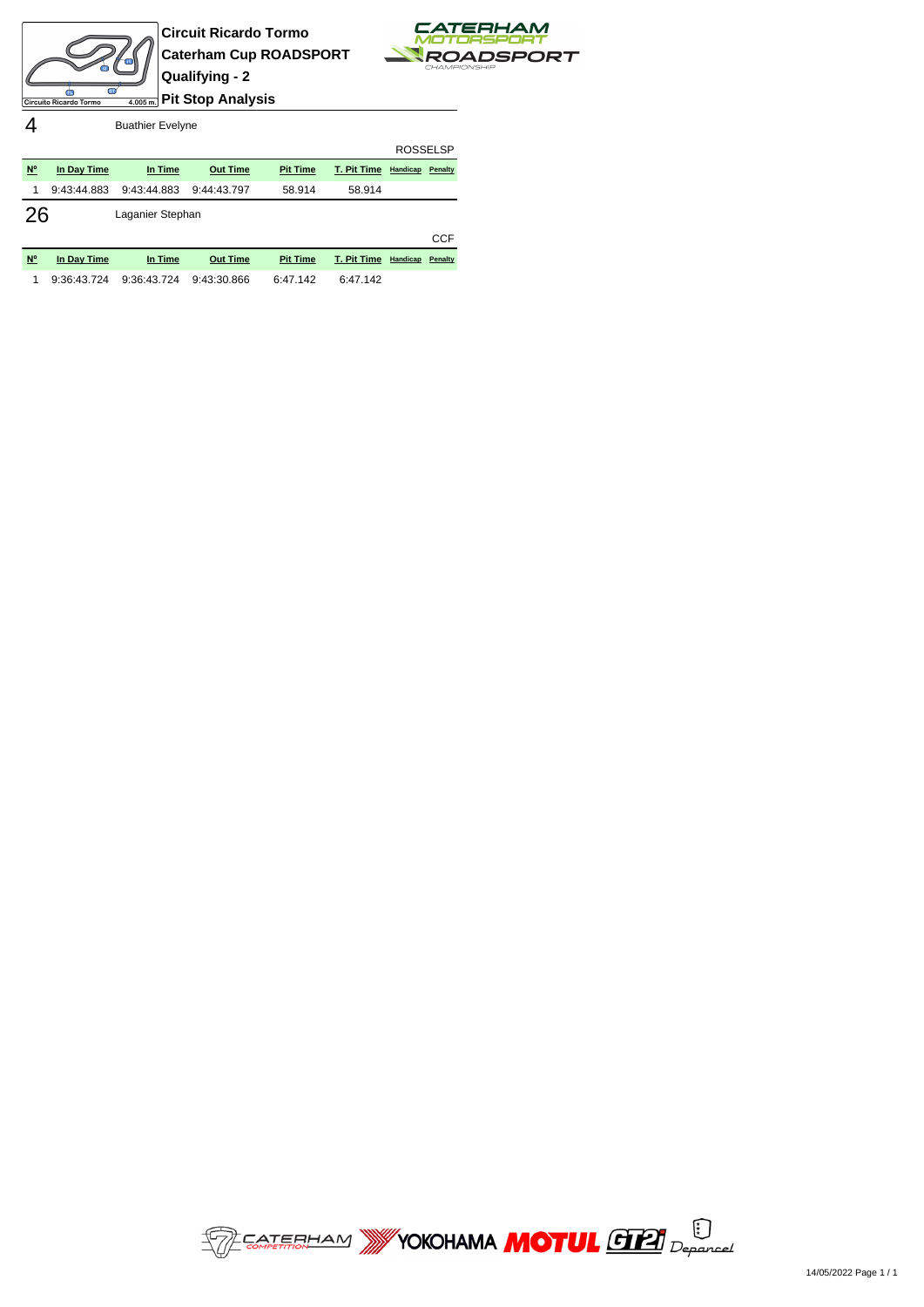



4 Buathier Evelyne

|             |                        |                  |                                            |                                |                                                                                                                | <b>ROSSELSP</b> |            |
|-------------|------------------------|------------------|--------------------------------------------|--------------------------------|----------------------------------------------------------------------------------------------------------------|-----------------|------------|
| $N^{\circ}$ | In Day Time            | In Time          | <b>Out Time</b>                            | <b>Pit Time</b>                | T. Pit Time                                                                                                    | Handicap        | Penalty    |
| 1           | 9:43:44.883            | 9:43:44.883      | 9:44:43.797                                | 58.914                         | 58.914                                                                                                         |                 |            |
| 26          |                        | Laganier Stephan |                                            |                                |                                                                                                                |                 |            |
|             |                        |                  |                                            |                                |                                                                                                                |                 | <b>CCF</b> |
| AIO.        | The Charles Charles of | The Continued of | <b>Contract Contract Contract Contract</b> | <b>The Committee Committee</b> | The Property Committee of the Committee of the Committee of the Committee of the Committee of the Committee of |                 |            |

| N° In Day Time | In Time | <b>Out Time</b>                                         | <b>Pit Time T. Pit Time Handicap Penalty</b> |  |  |
|----------------|---------|---------------------------------------------------------|----------------------------------------------|--|--|
|                |         | 1 9:36:43.724 9:36:43.724 9:43:30.866 6:47.142 6:47.142 |                                              |  |  |